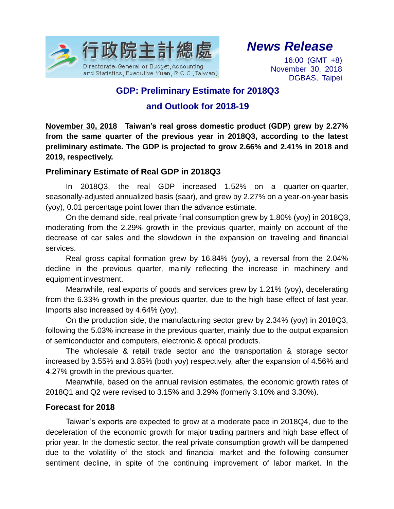

# *News Release*

16:00 (GMT +8) November 30, 2018 DGBAS, Taipei

### **GDP: Preliminary Estimate for 2018Q3**

### **and Outlook for 2018-19**

**November 30, 2018 Taiwan's real gross domestic product (GDP) grew by 2.27% from the same quarter of the previous year in 2018Q3, according to the latest preliminary estimate. The GDP is projected to grow 2.66% and 2.41% in 2018 and 2019, respectively.** 

#### **Preliminary Estimate of Real GDP in 2018Q3**

In 2018Q3, the real GDP increased 1.52% on a quarter-on-quarter, seasonally-adjusted annualized basis (saar), and grew by 2.27% on a year-on-year basis (yoy), 0.01 percentage point lower than the advance estimate.

On the demand side, real private final consumption grew by 1.80% (yoy) in 2018Q3, moderating from the 2.29% growth in the previous quarter, mainly on account of the decrease of car sales and the slowdown in the expansion on traveling and financial services.

Real gross capital formation grew by 16.84% (yoy), a reversal from the 2.04% decline in the previous quarter, mainly reflecting the increase in machinery and equipment investment.

Meanwhile, real exports of goods and services grew by 1.21% (yoy), decelerating from the 6.33% growth in the previous quarter, due to the high base effect of last year. Imports also increased by 4.64% (yoy).

On the production side, the manufacturing sector grew by 2.34% (yoy) in 2018Q3, following the 5.03% increase in the previous quarter, mainly due to the output expansion of semiconductor and computers, electronic & optical products.

The wholesale & retail trade sector and the transportation & storage sector increased by 3.55% and 3.85% (both yoy) respectively, after the expansion of 4.56% and 4.27% growth in the previous quarter.

Meanwhile, based on the annual revision estimates, the economic growth rates of 2018Q1 and Q2 were revised to 3.15% and 3.29% (formerly 3.10% and 3.30%).

#### **Forecast for 2018**

Taiwan's exports are expected to grow at a moderate pace in 2018Q4, due to the deceleration of the economic growth for major trading partners and high base effect of prior year. In the domestic sector, the real private consumption growth will be dampened due to the volatility of the stock and financial market and the following consumer sentiment decline, in spite of the continuing improvement of labor market. In the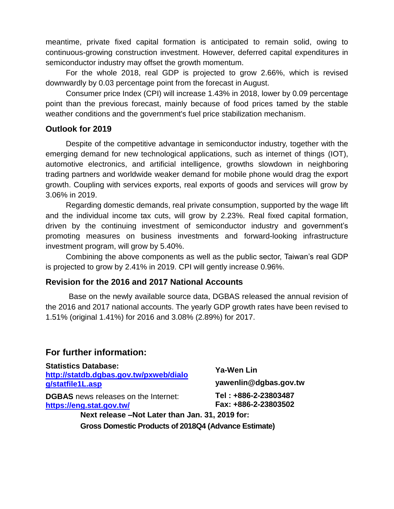meantime, private fixed capital formation is anticipated to remain solid, owing to continuous-growing construction investment. However, deferred capital expenditures in semiconductor industry may offset the growth momentum.

For the whole 2018, real GDP is projected to grow 2.66%, which is revised downwardly by 0.03 percentage point from the forecast in August.

Consumer price Index (CPI) will increase 1.43% in 2018, lower by 0.09 percentage point than the previous forecast, mainly because of food prices tamed by the stable weather conditions and the government's fuel price stabilization mechanism.

#### **Outlook for 2019**

Despite of the competitive advantage in semiconductor industry, together with the emerging demand for new technological applications, such as internet of things (IOT), automotive electronics, and artificial intelligence, growths slowdown in neighboring trading partners and worldwide weaker demand for mobile phone would drag the export growth. Coupling with services exports, real exports of goods and services will grow by 3.06% in 2019.

Regarding domestic demands, real private consumption, supported by the wage lift and the individual income tax cuts, will grow by 2.23%. Real fixed capital formation, driven by the continuing investment of semiconductor industry and government's promoting measures on business investments and forward-looking infrastructure investment program, will grow by 5.40%.

Combining the above components as well as the public sector, Taiwan's real GDP is projected to grow by 2.41% in 2019. CPI will gently increase 0.96%.

#### **Revision for the 2016 and 2017 National Accounts**

Base on the newly available source data, DGBAS released the annual revision of the 2016 and 2017 national accounts. The yearly GDP growth rates have been revised to 1.51% (original 1.41%) for 2016 and 3.08% (2.89%) for 2017.

### **For further information:**

| <b>Statistics Database:</b><br>http://statdb.dgbas.gov.tw/pxweb/dialo<br>g/statfile1L.asp | Ya-Wen Lin<br>yawenlin@dgbas.gov.tw          |
|-------------------------------------------------------------------------------------------|----------------------------------------------|
| <b>DGBAS</b> news releases on the Internet:<br>https://eng.stat.gov.tw/                   | Tel: +886-2-23803487<br>Fax: +886-2-23803502 |
| Next release -Not Later than Jan. 31, 2019 for:                                           |                                              |
| Gross Domestic Products of 2018Q4 (Advance Estimate)                                      |                                              |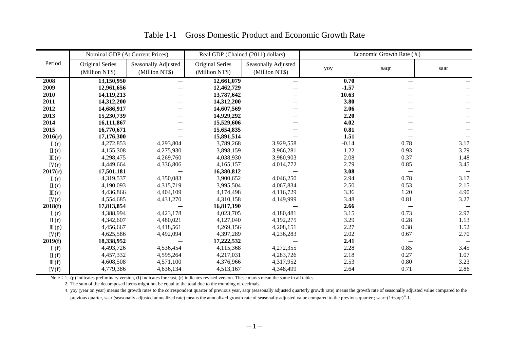|                  |                 | Nominal GDP (At Current Prices) |                 | Real GDP (Chained (2011) dollars) |         | Economic Growth Rate (%) |      |
|------------------|-----------------|---------------------------------|-----------------|-----------------------------------|---------|--------------------------|------|
| Period           | Original Series | Seasonally Adjusted             | Original Series | <b>Seasonally Adjusted</b>        |         |                          |      |
|                  | (Million NT\$)  | (Million NT\$)                  | (Million NT\$)  | (Million NT\$)                    | yoy     | saqr                     | saar |
| 2008             | 13,150,950      | $\overline{\phantom{0}}$        | 12,661,079      | $\qquad \qquad$                   | 0.70    | —                        |      |
| 2009             | 12,961,656      |                                 | 12,462,729      |                                   | $-1.57$ |                          |      |
| 2010             | 14,119,213      |                                 | 13,787,642      |                                   | 10.63   |                          |      |
| 2011             | 14,312,200      |                                 | 14,312,200      |                                   | 3.80    |                          |      |
| 2012             | 14,686,917      |                                 | 14,607,569      |                                   | 2.06    |                          |      |
| 2013             | 15,230,739      |                                 | 14,929,292      |                                   | 2.20    |                          |      |
| 2014             | 16,111,867      |                                 | 15,529,606      |                                   | 4.02    |                          |      |
| 2015             | 16,770,671      |                                 | 15,654,835      |                                   | 0.81    |                          |      |
| 2016(r)          | 17,176,300      |                                 | 15,891,514      |                                   | 1.51    |                          |      |
| I(r)             | 4,272,853       | 4,293,804                       | 3,789,268       | 3,929,558                         | $-0.14$ | 0.78                     | 3.17 |
| $\Pi(r)$         | 4,155,308       | 4,275,930                       | 3,898,159       | 3,966,281                         | 1.22    | 0.93                     | 3.79 |
| $\mathbb{II}(r)$ | 4,298,475       | 4,269,760                       | 4,038,930       | 3,980,903                         | 2.08    | 0.37                     | 1.48 |
| IV(r)            | 4,449,664       | 4,336,806                       | 4,165,157       | 4,014,772                         | 2.79    | 0.85                     | 3.45 |
| 2017(r)          | 17,501,181      |                                 | 16,380,812      |                                   | 3.08    |                          |      |
| I(r)             | 4,319,537       | 4,350,083                       | 3,900,652       | 4,046,250                         | 2.94    | 0.78                     | 3.17 |
| $\Pi(r)$         | 4,190,093       | 4,315,719                       | 3,995,504       | 4,067,834                         | 2.50    | 0.53                     | 2.15 |
| $\mathbb{II}(r)$ | 4,436,866       | 4,404,109                       | 4,174,498       | 4,116,729                         | 3.36    | 1.20                     | 4.90 |
| IV(r)            | 4,554,685       | 4,431,270                       | 4,310,158       | 4,149,999                         | 3.48    | 0.81                     | 3.27 |
| 2018(f)          | 17,813,854      |                                 | 16,817,190      |                                   | 2.66    |                          |      |
| I(r)             | 4,388,994       | 4,423,178                       | 4,023,705       | 4,180,481                         | 3.15    | 0.73                     | 2.97 |
| $\Pi(r)$         | 4,342,607       | 4,480,021                       | 4,127,040       | 4,192,275                         | 3.29    | 0.28                     | 1.13 |
| $\mathbb{II}(p)$ | 4,456,667       | 4,418,561                       | 4,269,156       | 4,208,151                         | 2.27    | 0.38                     | 1.52 |
| IV(f)            | 4,625,586       | 4,492,094                       | 4,397,289       | 4,236,283                         | 2.02    | 0.67                     | 2.70 |
| 2019(f)          | 18,338,952      |                                 | 17,222,532      |                                   | 2.41    | —                        |      |
| I(f)             | 4,493,726       | 4,536,454                       | 4,115,368       | 4,272,355                         | 2.28    | 0.85                     | 3.45 |
| $\Pi(f)$         | 4,457,332       | 4,595,264                       | 4,217,031       | 4,283,726                         | 2.18    | 0.27                     | 1.07 |
| $\mathbb{II}(f)$ | 4,608,508       | 4,571,100                       | 4,376,966       | 4,317,952                         | 2.53    | 0.80                     | 3.23 |
| IV(f)            | 4,779,386       | 4,636,134                       | 4,513,167       | 4,348,499                         | 2.64    | 0.71                     | 2.86 |

### Table 1-1 Gross Domestic Product and Economic Growth Rate

Note: 1. (p) indicates preliminary version, (f) indicates forecast, (r) indicates revised version. These marks mean the same in all tables.

2. The sum of the decomposed items might not be equal to the total due to the rounding of decimals.

 3. yoy (year on year) means the growth rates to the correspondent quarter of previous year, saqr (seasonally adjusted quarterly growth rate) means the growth rate of seasonally adjusted value compared to the previous quarter, saar (seasonally adjusted annualized rate) means the annualized growth rate of seasonally adjusted value compared to the previous quarter; saar= $(1+$ saqr $)^4$ -1.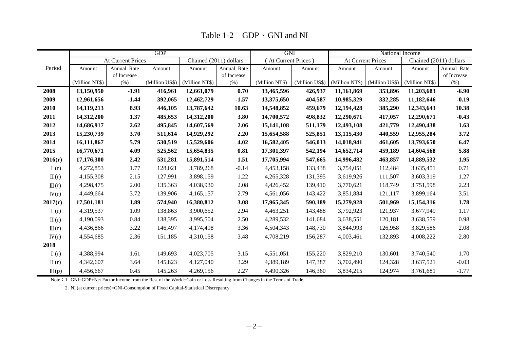|                  |                |                          | <b>GDP</b> |                               |             | <b>GNI</b>          |                |                | National Income          |                        |             |
|------------------|----------------|--------------------------|------------|-------------------------------|-------------|---------------------|----------------|----------------|--------------------------|------------------------|-------------|
|                  |                | <b>At Current Prices</b> |            | Chained (2011) dollars        |             | (At Current Prices) |                |                | <b>At Current Prices</b> | Chained (2011) dollars |             |
| Period           | Amount         | Annual Rate              | Amount     | Amount                        | Annual Rate | Amount              | Amount         | Amount         | Amount                   | Amount                 | Annual Rate |
|                  |                | of Increase              |            |                               | of Increase |                     |                |                |                          |                        | of Increase |
|                  | (Million NT\$) | (% )                     |            | (Million US\$) (Million NT\$) | (% )        | (Million NT\$)      | (Million US\$) | (Million NT\$) | (Million US\$)           | (Million NT\$)         | (% )        |
| 2008             | 13,150,950     | $-1.91$                  | 416,961    | 12,661,079                    | 0.70        | 13,465,596          | 426,937        | 11,161,869     | 353,896                  | 11,203,683             | $-6.90$     |
| 2009             | 12,961,656     | $-1.44$                  | 392,065    | 12,462,729                    | $-1.57$     | 13,375,650          | 404,587        | 10,985,329     | 332,285                  | 11,182,646             | $-0.19$     |
| 2010             | 14,119,213     | 8.93                     | 446,105    | 13,787,642                    | 10.63       | 14,548,852          | 459,679        | 12,194,428     | 385,290                  | 12,343,643             | 10.38       |
| 2011             | 14,312,200     | 1.37                     | 485,653    | 14,312,200                    | 3.80        | 14,700,572          | 498,832        | 12,290,671     | 417,057                  | 12,290,671             | $-0.43$     |
| 2012             | 14,686,917     | 2.62                     | 495,845    | 14,607,569                    | 2.06        | 15,141,108          | 511,179        | 12,493,108     | 421,779                  | 12,490,438             | 1.63        |
| 2013             | 15,230,739     | 3.70                     | 511,614    | 14,929,292                    | 2.20        | 15,654,588          | 525,851        | 13,115,430     | 440,559                  | 12,955,284             | 3.72        |
| 2014             | 16,111,867     | 5.79                     | 530,519    | 15,529,606                    | 4.02        | 16,582,405          | 546,013        | 14,018,941     | 461,605                  | 13,793,650             | 6.47        |
| 2015             | 16,770,671     | 4.09                     | 525,562    | 15,654,835                    | 0.81        | 17,301,397          | 542,194        | 14,652,714     | 459,189                  | 14,604,568             | 5.88        |
| 2016(r)          | 17,176,300     | 2.42                     | 531,281    | 15,891,514                    | 1.51        | 17,705,994          | 547,665        | 14,996,482     | 463,857                  | 14,889,532             | 1.95        |
| I(r)             | 4,272,853      | 1.77                     | 128,021    | 3,789,268                     | $-0.14$     | 4,453,158           | 133,438        | 3,754,051      | 112,484                  | 3,635,451              | 0.71        |
| $\Pi(r)$         | 4,155,308      | 2.15                     | 127,991    | 3,898,159                     | 1.22        | 4,265,328           | 131,395        | 3,619,926      | 111,507                  | 3,603,319              | 1.27        |
| $\mathbb{II}(r)$ | 4,298,475      | 2.00                     | 135,363    | 4,038,930                     | 2.08        | 4,426,452           | 139,410        | 3,770,621      | 118,749                  | 3,751,598              | 2.23        |
| IV(r)            | 4,449,664      | 3.72                     | 139,906    | 4,165,157                     | 2.79        | 4,561,056           | 143,422        | 3,851,884      | 121,117                  | 3,899,164              | 3.51        |
| 2017(r)          | 17,501,181     | 1.89                     | 574,940    | 16,380,812                    | 3.08        | 17,965,345          | 590,189        | 15,279,928     | 501,969                  | 15,154,316             | 1.78        |
| I(r)             | 4,319,537      | 1.09                     | 138,863    | 3,900,652                     | 2.94        | 4,463,251           | 143,488        | 3,792,923      | 121,937                  | 3,677,949              | 1.17        |
| $\Pi(r)$         | 4,190,093      | 0.84                     | 138,395    | 3,995,504                     | 2.50        | 4,289,532           | 141,684        | 3,638,551      | 120,181                  | 3,638,559              | 0.98        |
| $\mathbb{II}(r)$ | 4,436,866      | 3.22                     | 146,497    | 4,174,498                     | 3.36        | 4,504,343           | 148,730        | 3,844,993      | 126,958                  | 3,829,586              | 2.08        |
| $\rm{IV}(r)$     | 4,554,685      | 2.36                     | 151,185    | 4,310,158                     | 3.48        | 4,708,219           | 156,287        | 4,003,461      | 132,893                  | 4,008,222              | 2.80        |
| 2018             |                |                          |            |                               |             |                     |                |                |                          |                        |             |
| I(r)             | 4,388,994      | 1.61                     | 149,693    | 4,023,705                     | 3.15        | 4,551,051           | 155,220        | 3,829,210      | 130,601                  | 3,740,540              | 1.70        |
| $\mathbb{I}(r)$  | 4,342,607      | 3.64                     | 145,823    | 4,127,040                     | 3.29        | 4,389,189           | 147,387        | 3,702,490      | 124,328                  | 3,637,521              | $-0.03$     |
| $\mathbb{II}(p)$ | 4,456,667      | 0.45                     | 145,263    | 4,269,156                     | 2.27        | 4,490,326           | 146,360        | 3,834,215      | 124,974                  | 3,761,681              | $-1.77$     |

Table 1-2 GDP GNI and NI

Note: 1. GNI=GDP+Net Factor Income from the Rest of the World+Gain or Loss Resulting from Changes in the Terms of Trade.

2. NI (at current prices)=GNI-Consumption of Fixed Capital-Statistical Discrepancy.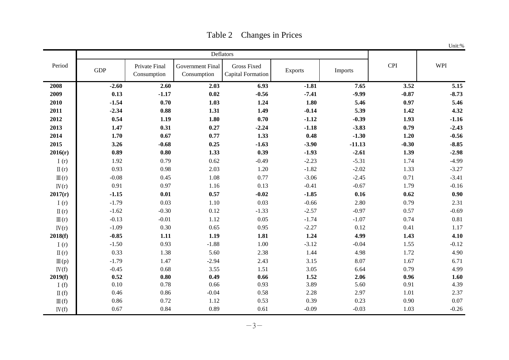|                  |            |                              |                                        |                                         |                |          |            | Unit:%  |
|------------------|------------|------------------------------|----------------------------------------|-----------------------------------------|----------------|----------|------------|---------|
|                  |            |                              |                                        | Deflators                               |                |          |            |         |
| Period           | <b>GDP</b> | Private Final<br>Consumption | <b>Government Final</b><br>Consumption | <b>Gross Fixed</b><br>Capital Formation | <b>Exports</b> | Imports  | <b>CPI</b> | WPI     |
| 2008             | $-2.60$    | 2.60                         | 2.03                                   | 6.93                                    | $-1.81$        | 7.65     | 3.52       | 5.15    |
| 2009             | 0.13       | $-1.17$                      | 0.02                                   | $-0.56$                                 | $-7.41$        | $-9.99$  | $-0.87$    | $-8.73$ |
| 2010             | $-1.54$    | 0.70                         | 1.03                                   | 1.24                                    | 1.80           | 5.46     | 0.97       | 5.46    |
| 2011             | $-2.34$    | 0.88                         | 1.31                                   | 1.49                                    | $-0.14$        | 5.39     | 1.42       | 4.32    |
| 2012             | 0.54       | 1.19                         | 1.80                                   | 0.70                                    | $-1.12$        | $-0.39$  | 1.93       | $-1.16$ |
| 2013             | 1.47       | 0.31                         | 0.27                                   | $-2.24$                                 | $-1.18$        | $-3.83$  | 0.79       | $-2.43$ |
| 2014             | 1.70       | 0.67                         | 0.77                                   | 1.33                                    | 0.48           | $-1.30$  | 1.20       | $-0.56$ |
| 2015             | 3.26       | $-0.68$                      | 0.25                                   | $-1.63$                                 | $-3.90$        | $-11.13$ | $-0.30$    | $-8.85$ |
| 2016(r)          | 0.89       | 0.80                         | 1.33                                   | 0.39                                    | $-1.93$        | $-2.61$  | 1.39       | $-2.98$ |
| I $(r)$          | 1.92       | 0.79                         | 0.62                                   | $-0.49$                                 | $-2.23$        | $-5.31$  | 1.74       | $-4.99$ |
| $\Pi(r)$         | 0.93       | 0.98                         | 2.03                                   | 1.20                                    | $-1.82$        | $-2.02$  | 1.33       | $-3.27$ |
| $\mathbb{II}(r)$ | $-0.08$    | 0.45                         | 1.08                                   | 0.77                                    | $-3.06$        | $-2.45$  | 0.71       | $-3.41$ |
| IV(r)            | 0.91       | 0.97                         | 1.16                                   | 0.13                                    | $-0.41$        | $-0.67$  | 1.79       | $-0.16$ |
| 2017(r)          | $-1.15$    | 0.01                         | 0.57                                   | $-0.02$                                 | $-1.85$        | 0.16     | 0.62       | 0.90    |
| I(r)             | $-1.79$    | 0.03                         | 1.10                                   | 0.03                                    | $-0.66$        | 2.80     | 0.79       | 2.31    |
| $\Pi(r)$         | $-1.62$    | $-0.30$                      | 0.12                                   | $-1.33$                                 | $-2.57$        | $-0.97$  | 0.57       | $-0.69$ |
| $\mathbb{II}(r)$ | $-0.13$    | $-0.01$                      | 1.12                                   | 0.05                                    | $-1.74$        | $-1.07$  | 0.74       | 0.81    |
| IV(r)            | $-1.09$    | 0.30                         | 0.65                                   | 0.95                                    | $-2.27$        | 0.12     | 0.41       | 1.17    |
| 2018(f)          | $-0.85$    | 1.11                         | 1.19                                   | 1.81                                    | 1.24           | 4.99     | 1.43       | 4.10    |
| I(r)             | $-1.50$    | 0.93                         | $-1.88$                                | 1.00                                    | $-3.12$        | $-0.04$  | 1.55       | $-0.12$ |
| $\Pi(r)$         | 0.33       | 1.38                         | 5.60                                   | 2.38                                    | 1.44           | 4.98     | 1.72       | 4.90    |
| $\mathbb{II}(p)$ | $-1.79$    | 1.47                         | $-2.94$                                | 2.43                                    | 3.15           | 8.07     | 1.67       | 6.71    |
| IV(f)            | $-0.45$    | 0.68                         | 3.55                                   | 1.51                                    | 3.05           | 6.64     | 0.79       | 4.99    |
| 2019(f)          | 0.52       | 0.80                         | 0.49                                   | 0.66                                    | 1.52           | 2.06     | 0.96       | 1.60    |
| I $(f)$          | 0.10       | 0.78                         | 0.66                                   | 0.93                                    | 3.89           | 5.60     | 0.91       | 4.39    |
| $\Pi(f)$         | 0.46       | 0.86                         | $-0.04$                                | 0.58                                    | 2.28           | 2.97     | 1.01       | 2.37    |
| $\mathbb{II}(f)$ | 0.86       | 0.72                         | 1.12                                   | 0.53                                    | 0.39           | 0.23     | 0.90       | 0.07    |
| IV(f)            | 0.67       | 0.84                         | 0.89                                   | 0.61                                    | $-0.09$        | $-0.03$  | 1.03       | $-0.26$ |

Table 2 Changes in Prices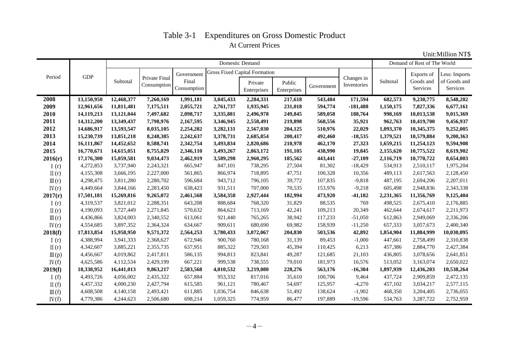# Table 3-1 Expenditures on Gross Domestic Product At Current Prices

Unit:Million NT\$

|                          |            |            |                              |                      |           | Domestic Demand                      |                       |            |                           |           | Demand of Rest of The World |                          |
|--------------------------|------------|------------|------------------------------|----------------------|-----------|--------------------------------------|-----------------------|------------|---------------------------|-----------|-----------------------------|--------------------------|
|                          |            |            |                              | Government           |           | <b>Gross Fixed Capital Formation</b> |                       |            |                           |           | Exports of                  | Less: Imports            |
| Period                   | <b>GDP</b> | Subtotal   | Private Final<br>Consumption | Final<br>Consumption |           | Private<br>Enterprises               | Public<br>Enterprises | Government | Changes in<br>Inventories | Subtotal  | Goods and<br>Services       | of Goods and<br>Services |
| 2008                     | 13,150,950 | 12,468,377 | 7,260,169                    | 1,991,181            | 3,045,433 | 2,284,331                            | 217,618               | 543,484    | 171,594                   | 682,573   | 9,230,775                   | 8,548,202                |
| 2009                     | 12,961,656 | 11,811,481 | 7,175,511                    | 2,055,721            | 2,761,737 | 1,935,945                            | 231,018               | 594,774    | $-181,488$                | 1,150,175 | 7,827,336                   | 6,677,161                |
| 2010                     | 14,119,213 | 13,121,044 | 7,497,682                    | 2,098,717            | 3,335,881 | 2,496,978                            | 249,845               | 589,058    | 188,764                   | 998,169   | 10,013,538                  | 9,015,369                |
| 2011                     | 14,312,200 | 13,349,437 | 7,798,976                    | 2,167,595            | 3,346,945 | 2,558,491                            | 219,898               | 568,556    | 35,921                    | 962,763   | 10,419,700                  | 9,456,937                |
| 2012                     | 14,686,917 | 13,593,547 | 8,035,105                    | 2,254,282            | 3,282,131 | 2,567,030                            | 204,125               | 510,976    | 22,029                    | 1,093,370 | 10,345,375                  | 9,252,005                |
| 2013                     | 15,230,739 | 13,851,218 | 8,248,385                    | 2,242,637            | 3,378,731 | 2,685,854                            | 200,417               | 492,460    | $-18,535$                 | 1,379,521 | 10,579,884                  | 9,200,363                |
| 2014                     | 16,111,867 | 14,452,652 | 8,588,741                    | 2,342,754            | 3,493,834 | 2,820,686                            | 210,978               | 462,170    | 27,323                    | 1,659,215 | 11,254,123                  | 9,594,908                |
| 2015                     | 16,770,671 | 14,615,051 | 8,755,829                    | 2,346,110            | 3,493,267 | 2,863,172                            | 191,105               | 438,990    | 19,845                    | 2,155,620 | 10,775,522                  | 8,619,902                |
| 2016(r)                  | 17,176,300 | 15,059,581 | 9,034,473                    | 2,462,919            | 3,589,298 | 2,960,295                            | 185,562               | 443,441    | $-27,109$                 | 2,116,719 | 10,770,722                  | 8,654,003                |
| I(r)                     | 4,272,853  | 3,737,940  | 2,243,321                    | 665,947              | 847,101   | 738,295                              | 27,504                | 81,302     | $-18,429$                 | 534,913   | 2,510,117                   | 1,975,204                |
| $\Pi(r)$                 | 4,155,308  | 3,666,195  | 2,227,000                    | 561,865              | 866,974   | 718,895                              | 47,751                | 100,328    | 10,356                    | 489,113   | 2,617,563                   | 2,128,450                |
| $\mathbb{II}(r)$         | 4,298,475  | 3,811,280  | 2,280,702                    | 596,684              | 943,712   | 796,105                              | 39,772                | 107,835    | $-9,818$                  | 487,195   | 2,694,206                   | 2,207,011                |
| IV(r)                    | 4,449,664  | 3,844,166  | 2,283,450                    | 638,423              | 931,511   | 707,000                              | 70,535                | 153,976    | $-9,218$                  | 605,498   | 2,948,836                   | 2,343,338                |
| 2017(r)                  | 17,501,181 | 15,269,816 | 9,265,072                    | 2,461,568            | 3,584,358 | 2,927,444                            | 182,994               | 473,920    | $-41,182$                 | 2,231,365 | 11,356,769                  | 9,125,404                |
| I(r)                     | 4,319,537  | 3,821,012  | 2,288,351                    | 643,208              | 888,684   | 768,320                              | 31,829                | 88,535     | 769                       | 498,525   | 2,675,410                   | 2,176,885                |
| $\mathbb{I}(\mathbf{r})$ | 4,190,093  | 3,727,449  | 2,271,845                    | 570,632              | 864,623   | 713,169                              | 42,241                | 109,213    | 20,349                    | 462,644   | 2,674,617                   | 2,211,973                |
| $\mathbb{II}(r)$         | 4,436,866  | 3,824,003  | 2,340,552                    | 613,061              | 921,440   | 765,265                              | 38,942                | 117,233    | $-51,050$                 | 612,863   | 2,949,069                   | 2,336,206                |
| IV(r)                    | 4,554,685  | 3,897,352  | 2,364,324                    | 634,667              | 909,611   | 680,690                              | 69,982                | 158,939    | $-11,250$                 | 657,333   | 3,057,673                   | 2,400,340                |
| 2018(f)                  | 17,813,854 | 15,958,950 | 9,571,372                    | 2,564,253            | 3,780,433 | 3,072,067                            | 204,830               | 503,536    | 42,892                    | 1,854,904 | 11,884,999                  | 10,030,095               |
| I(r)                     | 4,388,994  | 3,941,333  | 2,368,627                    | 672,946              | 900,760   | 780,168                              | 31,139                | 89,453     | $-1,000$                  | 447,661   | 2,758,499                   | 2,310,838                |
| $\mathbb{I}(r)$          | 4,342,607  | 3,885,221  | 2,355,735                    | 637,951              | 885,322   | 729,503                              | 45,394                | 110,425    | 6,213                     | 457,386   | 2,884,770                   | 2,427,384                |
| $\mathbb{II}(p)$         | 4,456,667  | 4,019,862  | 2,417,811                    | 586,135              | 994,813   | 823,841                              | 49,287                | 121,685    | 21,103                    | 436,805   | 3,078,656                   | 2,641,851                |
| IV(f)                    | 4,625,586  | 4,112,534  | 2,429,199                    | 667,221              | 999,538   | 738,555                              | 79,010                | 181,973    | 16,576                    | 513,052   | 3,163,074                   | 2,650,022                |
| 2019(f)                  | 18,338,952 | 16,441,013 | 9,863,217                    | 2,583,568            | 4,010,532 | 3,219,080                            | 228,276               | 563,176    | $-16,304$                 | 1,897,939 | 12,436,203                  | 10,538,264               |
| I(f)                     | 4,493,726  | 4,056,002  | 2,435,322                    | 657,884              | 953,332   | 817,016                              | 35,610                | 100,706    | 9,464                     | 437,724   | 2,909,859                   | 2,472,135                |
| $\Pi(f)$                 | 4,457,332  | 4,000,230  | 2,427,794                    | 615,585              | 961,121   | 780,467                              | 54,697                | 125,957    | $-4,270$                  | 457,102   | 3,034,217                   | 2,577,115                |
| $\mathbb{II}(f)$         | 4,608,508  | 4,140,158  | 2,493,421                    | 611,885              | 1,036,754 | 846,638                              | 51,492                | 138,624    | $-1,902$                  | 468,350   | 3,204,405                   | 2,736,055                |
| IV(f)                    | 4,779,386  | 4,244,623  | 2,506,680                    | 698,214              | 1,059,325 | 774,959                              | 86,477                | 197,889    | $-19,596$                 | 534,763   | 3,287,722                   | 2,752,959                |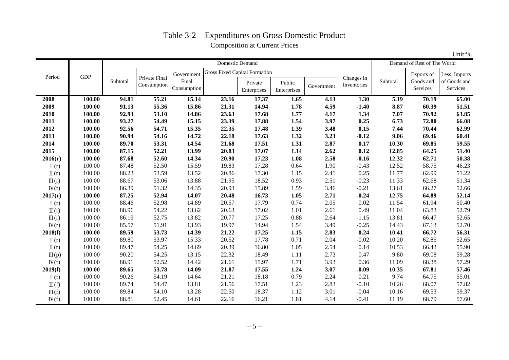## Table 3-2 Expenditures on Gross Domestic Product Composition at Current Prices

|                  |            |          |                              |                      |                                      | Domestic Demand        |                       |            |                           |          | Demand of Rest of The World |                          |
|------------------|------------|----------|------------------------------|----------------------|--------------------------------------|------------------------|-----------------------|------------|---------------------------|----------|-----------------------------|--------------------------|
|                  |            |          |                              | Government           | <b>Gross Fixed Capital Formation</b> |                        |                       |            |                           |          | Exports of                  | Less: Imports            |
| Period           | <b>GDP</b> | Subtotal | Private Final<br>Consumption | Final<br>Consumption |                                      | Private<br>Enterprises | Public<br>Enterprises | Government | Changes in<br>Inventories | Subtotal | Goods and<br>Services       | of Goods and<br>Services |
| 2008             | 100.00     | 94.81    | 55.21                        | 15.14                | 23.16                                | 17.37                  | 1.65                  | 4.13       | 1.30                      | 5.19     | 70.19                       | 65.00                    |
| 2009             | 100.00     | 91.13    | 55.36                        | 15.86                | 21.31                                | 14.94                  | 1.78                  | 4.59       | $-1.40$                   | 8.87     | 60.39                       | 51.51                    |
| 2010             | 100.00     | 92.93    | 53.10                        | 14.86                | 23.63                                | 17.68                  | 1.77                  | 4.17       | 1.34                      | 7.07     | 70.92                       | 63.85                    |
| 2011             | 100.00     | 93.27    | 54.49                        | 15.15                | 23.39                                | 17.88                  | 1.54                  | 3.97       | 0.25                      | 6.73     | 72.80                       | 66.08                    |
| 2012             | 100.00     | 92.56    | 54.71                        | 15.35                | 22.35                                | 17.48                  | 1.39                  | 3.48       | 0.15                      | 7.44     | 70.44                       | 62.99                    |
| 2013             | 100.00     | 90.94    | 54.16                        | 14.72                | 22.18                                | 17.63                  | 1.32                  | 3.23       | $-0.12$                   | 9.06     | 69.46                       | 60.41                    |
| 2014             | 100.00     | 89.70    | 53.31                        | 14.54                | 21.68                                | 17.51                  | 1.31                  | 2.87       | 0.17                      | 10.30    | 69.85                       | 59.55                    |
| 2015             | 100.00     | 87.15    | 52.21                        | 13.99                | 20.83                                | 17.07                  | 1.14                  | 2.62       | 0.12                      | 12.85    | 64.25                       | 51.40                    |
| 2016(r)          | 100.00     | 87.68    | 52.60                        | 14.34                | 20.90                                | 17.23                  | 1.08                  | 2.58       | $-0.16$                   | 12.32    | 62.71                       | 50.38                    |
| I $(r)$          | 100.00     | 87.48    | 52.50                        | 15.59                | 19.83                                | 17.28                  | 0.64                  | 1.90       | $-0.43$                   | 12.52    | 58.75                       | 46.23                    |
| $\Pi(r)$         | 100.00     | 88.23    | 53.59                        | 13.52                | 20.86                                | 17.30                  | 1.15                  | 2.41       | 0.25                      | 11.77    | 62.99                       | 51.22                    |
| $\mathbb{II}(r)$ | 100.00     | 88.67    | 53.06                        | 13.88                | 21.95                                | 18.52                  | 0.93                  | 2.51       | $-0.23$                   | 11.33    | 62.68                       | 51.34                    |
| IV(r)            | 100.00     | 86.39    | 51.32                        | 14.35                | 20.93                                | 15.89                  | 1.59                  | 3.46       | $-0.21$                   | 13.61    | 66.27                       | 52.66                    |
| 2017(r)          | 100.00     | 87.25    | 52.94                        | 14.07                | 20.48                                | 16.73                  | 1.05                  | 2.71       | $-0.24$                   | 12.75    | 64.89                       | 52.14                    |
| I(r)             | 100.00     | 88.46    | 52.98                        | 14.89                | 20.57                                | 17.79                  | 0.74                  | 2.05       | 0.02                      | 11.54    | 61.94                       | 50.40                    |
| $\Pi(r)$         | 100.00     | 88.96    | 54.22                        | 13.62                | 20.63                                | 17.02                  | 1.01                  | 2.61       | 0.49                      | 11.04    | 63.83                       | 52.79                    |
| $\mathbb{II}(r)$ | 100.00     | 86.19    | 52.75                        | 13.82                | 20.77                                | 17.25                  | 0.88                  | 2.64       | $-1.15$                   | 13.81    | 66.47                       | 52.65                    |
| IV(r)            | 100.00     | 85.57    | 51.91                        | 13.93                | 19.97                                | 14.94                  | 1.54                  | 3.49       | $-0.25$                   | 14.43    | 67.13                       | 52.70                    |
| 2018(f)          | 100.00     | 89.59    | 53.73                        | 14.39                | 21.22                                | 17.25                  | 1.15                  | 2.83       | 0.24                      | 10.41    | 66.72                       | 56.31                    |
| I(r)             | 100.00     | 89.80    | 53.97                        | 15.33                | 20.52                                | 17.78                  | 0.71                  | 2.04       | $-0.02$                   | 10.20    | 62.85                       | 52.65                    |
| $\Pi(r)$         | 100.00     | 89.47    | 54.25                        | 14.69                | 20.39                                | 16.80                  | 1.05                  | 2.54       | 0.14                      | 10.53    | 66.43                       | 55.90                    |
| $\mathbb{II}(p)$ | 100.00     | 90.20    | 54.25                        | 13.15                | 22.32                                | 18.49                  | 1.11                  | 2.73       | 0.47                      | 9.80     | 69.08                       | 59.28                    |
| IV(f)            | 100.00     | 88.91    | 52.52                        | 14.42                | 21.61                                | 15.97                  | 1.71                  | 3.93       | 0.36                      | 11.09    | 68.38                       | 57.29                    |
| 2019(f)          | 100.00     | 89.65    | 53.78                        | 14.09                | 21.87                                | 17.55                  | 1.24                  | 3.07       | $-0.09$                   | 10.35    | 67.81                       | 57.46                    |
| I $(f)$          | 100.00     | 90.26    | 54.19                        | 14.64                | 21.21                                | 18.18                  | 0.79                  | 2.24       | 0.21                      | 9.74     | 64.75                       | 55.01                    |
| $\Pi(f)$         | 100.00     | 89.74    | 54.47                        | 13.81                | 21.56                                | 17.51                  | 1.23                  | 2.83       | $-0.10$                   | 10.26    | 68.07                       | 57.82                    |
| $\mathbb{II}(f)$ | 100.00     | 89.84    | 54.10                        | 13.28                | 22.50                                | 18.37                  | 1.12                  | 3.01       | $-0.04$                   | 10.16    | 69.53                       | 59.37                    |
| IV(f)            | 100.00     | 88.81    | 52.45                        | 14.61                | 22.16                                | 16.21                  | 1.81                  | 4.14       | $-0.41$                   | 11.19    | 68.79                       | 57.60                    |

Unit:%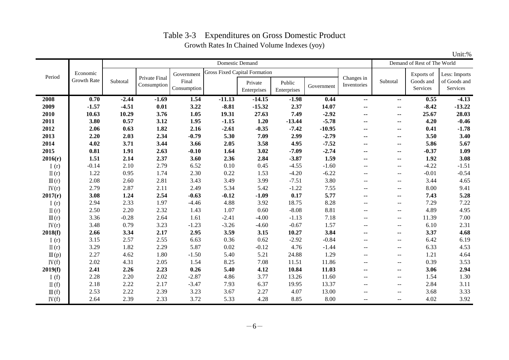# Table 3-3 Expenditures on Gross Domestic Product Growth Rates In Chained Volume Indexes (yoy)

|                  |                    |          |                              |             |          | Domestic Demand                      |             |            |                           |                          | Demand of Rest of The World |               |
|------------------|--------------------|----------|------------------------------|-------------|----------|--------------------------------------|-------------|------------|---------------------------|--------------------------|-----------------------------|---------------|
|                  | Economic           |          |                              | Government  |          | <b>Gross Fixed Capital Formation</b> |             |            |                           |                          | Exports of                  | Less: Imports |
| Period           | <b>Growth Rate</b> | Subtotal | Private Final<br>Consumption | Final       |          | Private                              | Public      |            | Changes in<br>Inventories | Subtotal                 | Goods and                   | of Goods and  |
|                  |                    |          |                              | Consumption |          | Enterprises                          | Enterprises | Government |                           |                          | Services                    | Services      |
| 2008             | $\overline{0.70}$  | $-2.44$  | $-1.69$                      | 1.54        | $-11.13$ | $-14.15$                             | $-1.98$     | 0.44       | $\sim$ $\sim$             | $\sim$                   | 0.55                        | $-4.13$       |
| 2009             | $-1.57$            | $-4.51$  | 0.01                         | 3.22        | $-8.81$  | $-15.32$                             | 2.37        | 14.07      | ۰.                        | $\overline{\phantom{a}}$ | $-8.42$                     | $-13.22$      |
| 2010             | 10.63              | 10.29    | 3.76                         | 1.05        | 19.31    | 27.63                                | 7.49        | $-2.92$    | ۰.                        | $\sim$                   | 25.67                       | 28.03         |
| 2011             | 3.80               | 0.57     | 3.12                         | 1.95        | $-1.15$  | 1.20                                 | $-13.44$    | $-5.78$    | ۰.                        | $\sim$                   | 4.20                        | $-0.46$       |
| 2012             | 2.06               | 0.63     | 1.82                         | 2.16        | $-2.61$  | $-0.35$                              | $-7.42$     | $-10.95$   | --                        | $\sim$                   | 0.41                        | $-1.78$       |
| 2013             | 2.20               | 2.03     | 2.34                         | $-0.79$     | 5.30     | 7.09                                 | 2.99        | $-2.79$    | $\sim$ $\sim$             | $\sim$                   | 3.50                        | 3.40          |
| 2014             | 4.02               | 3.71     | 3.44                         | 3.66        | 2.05     | 3.58                                 | 4.95        | $-7.52$    | $\overline{\phantom{a}}$  | $\sim$                   | 5.86                        | 5.67          |
| 2015             | 0.81               | 1.91     | 2.63                         | $-0.10$     | 1.64     | 3.02                                 | $-7.09$     | $-2.74$    | ۰.                        | $\sim$                   | $-0.37$                     | 1.09          |
| 2016(r)          | 1.51               | 2.14     | 2.37                         | 3.60        | 2.36     | 2.84                                 | $-3.87$     | 1.59       | ۰.                        | $\sim$                   | 1.92                        | 3.08          |
| I $(r)$          | $-0.14$            | 2.10     | 2.79                         | 6.52        | 0.10     | 0.45                                 | $-4.55$     | $-1.60$    | $\mathbf{u}$              | $- -$                    | $-4.22$                     | $-1.51$       |
| $\Pi(r)$         | 1.22               | 0.95     | 1.74                         | 2.30        | 0.22     | 1.53                                 | $-4.20$     | $-6.22$    | $\mathbf{u}$              | $\overline{\phantom{a}}$ | $-0.01$                     | $-0.54$       |
| $\mathbb{II}(r)$ | 2.08               | 2.60     | 2.81                         | 3.43        | 3.49     | 3.99                                 | $-7.51$     | 3.80       | $-$                       | $- -$                    | 3.44                        | 4.65          |
| IV(r)            | 2.79               | 2.87     | 2.11                         | 2.49        | 5.34     | 5.42                                 | $-1.22$     | 7.55       | $\overline{a}$            | $\mathbf{u}$             | 8.00                        | 9.41          |
| 2017(r)          | 3.08               | 1.24     | 2.54                         | $-0.63$     | $-0.12$  | $-1.09$                              | 0.17        | 5.77       | $\sim$ $\sim$             | $\sim$                   | 7.43                        | 5.28          |
| I(r)             | 2.94               | 2.33     | 1.97                         | $-4.46$     | 4.88     | 3.92                                 | 18.75       | 8.28       | $\mathbf{u}$              | $- -$                    | 7.29                        | 7.22          |
| $\Pi(r)$         | 2.50               | 2.20     | 2.32                         | 1.43        | 1.07     | 0.60                                 | $-8.08$     | 8.81       | $\mathbf{u}$              | $\overline{\phantom{a}}$ | 4.89                        | 4.95          |
| $\mathbb{II}(r)$ | 3.36               | $-0.28$  | 2.64                         | 1.61        | $-2.41$  | $-4.00$                              | $-1.13$     | 7.18       | $-$                       | $- -$                    | 11.39                       | 7.00          |
| IV(r)            | 3.48               | 0.79     | 3.23                         | $-1.23$     | $-3.26$  | $-4.60$                              | $-0.67$     | 1.57       | $-$                       | $- -$                    | 6.10                        | 2.31          |
| 2018(f)          | 2.66               | 3.34     | 2.17                         | 2.95        | 3.59     | 3.15                                 | 10.27       | 3.84       | $\sim$                    | $\sim$                   | 3.37                        | 4.68          |
| I(r)             | 3.15               | 2.57     | 2.55                         | 6.63        | 0.36     | 0.62                                 | $-2.92$     | $-0.84$    | $-$                       | $- -$                    | 6.42                        | 6.19          |
| $\Pi(r)$         | 3.29               | 1.82     | 2.29                         | 5.87        | 0.02     | $-0.12$                              | 4.76        | $-1.44$    | $\overline{a}$            | $\overline{a}$           | 6.33                        | 4.53          |
| $\mathbb{II}(p)$ | 2.27               | 4.62     | 1.80                         | $-1.50$     | 5.40     | 5.21                                 | 24.88       | 1.29       | $\overline{a}$            | $\overline{\phantom{a}}$ | 1.21                        | 4.64          |
| IV(f)            | 2.02               | 4.31     | 2.05                         | 1.54        | 8.25     | 7.08                                 | 11.51       | 11.86      | $-$                       | $- -$                    | 0.39                        | 3.53          |
| 2019(f)          | 2.41               | 2.26     | 2.23                         | 0.26        | 5.40     | 4.12                                 | 10.84       | 11.03      | $\overline{\phantom{a}}$  | $\sim$                   | 3.06                        | 2.94          |
| I $(f)$          | 2.28               | 2.20     | 2.02                         | $-2.87$     | 4.86     | 3.77                                 | 13.26       | 11.60      | $\overline{\phantom{m}}$  | $\overline{\phantom{m}}$ | 1.54                        | 1.30          |
| $\Pi(f)$         | 2.18               | 2.22     | 2.17                         | $-3.47$     | 7.93     | 6.37                                 | 19.95       | 13.37      | $\mathbf{u}$              | $\overline{\phantom{a}}$ | 2.84                        | 3.11          |
| $\mathbb{II}(f)$ | 2.53               | 2.22     | 2.39                         | 3.23        | 3.67     | 2.27                                 | 4.07        | 13.00      | $-$                       | $-$                      | 3.68                        | 3.33          |
| IV(f)            | 2.64               | 2.39     | 2.33                         | 3.72        | 5.33     | 4.28                                 | 8.85        | 8.00       | $\mathbf{u}$              | $\overline{\phantom{m}}$ | 4.02                        | 3.92          |

Unit:%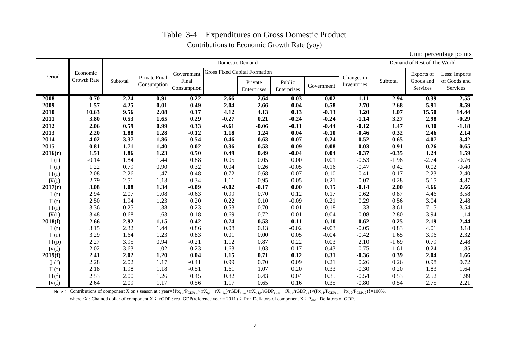### Table 3-4 Expenditures on Gross Domestic Product Contributions to Economic Growth Rate (yoy)

|                                                                                                                                                                                                                                                                                                               |                    |          |               |             | <b>Domestic Demand</b> |                                      |             |            |                           |          | Demand of Rest of The World |               |
|---------------------------------------------------------------------------------------------------------------------------------------------------------------------------------------------------------------------------------------------------------------------------------------------------------------|--------------------|----------|---------------|-------------|------------------------|--------------------------------------|-------------|------------|---------------------------|----------|-----------------------------|---------------|
|                                                                                                                                                                                                                                                                                                               | Economic           |          | Private Final | Government  |                        | <b>Gross Fixed Capital Formation</b> |             |            |                           |          | Exports of                  | Less: Imports |
| Period<br>2008<br>2009<br>2010<br>2011<br>2012<br>2013<br>2014<br>2015<br>2016(r)<br>I(r)<br>$\Pi(r)$<br>$\mathbb{II}(r)$<br>IV(r)<br>2017(r)<br>I(r)<br>$\Pi(r)$<br>$\mathbb{II}(r)$<br>IV(r)<br>2018(f)<br>I(r)<br>$\Pi(r)$<br>$\mathbb{II}(p)$<br>IV(f)<br>2019(f)<br>I(f)<br>$\Pi(f)$<br>$\mathbb{II}(f)$ | <b>Growth Rate</b> | Subtotal | Consumption   | Final       |                        | Private                              | Public      |            | Changes in<br>Inventories | Subtotal | Goods and                   | of Goods and  |
|                                                                                                                                                                                                                                                                                                               |                    |          |               | Consumption |                        | Enterprises                          | Enterprises | Government |                           |          | Services                    | Services      |
|                                                                                                                                                                                                                                                                                                               | 0.70               | $-2.24$  | $-0.91$       | 0.22        | $-2.66$                | $-2.64$                              | $-0.03$     | 0.02       | 1.11                      | 2.94     | 0.39                        | $-2.55$       |
|                                                                                                                                                                                                                                                                                                               | $-1.57$            | $-4.25$  | 0.01          | 0.49        | $-2.04$                | $-2.66$                              | 0.04        | 0.58       | $-2.70$                   | 2.68     | $-5.91$                     | $-8.59$       |
|                                                                                                                                                                                                                                                                                                               | 10.63              | 9.56     | 2.08          | 0.17        | 4.12                   | 4.13                                 | 0.13        | $-0.13$    | 3.20                      | 1.07     | 15.50                       | 14.44         |
|                                                                                                                                                                                                                                                                                                               | 3.80               | 0.53     | 1.65          | 0.29        | $-0.27$                | 0.21                                 | $-0.24$     | $-0.24$    | $-1.14$                   | 3.27     | 2.98                        | $-0.29$       |
|                                                                                                                                                                                                                                                                                                               | 2.06               | 0.59     | 0.99          | 0.33        | $-0.61$                | $-0.06$                              | $-0.11$     | $-0.44$    | $-0.12$                   | 1.47     | 0.30                        | $-1.18$       |
|                                                                                                                                                                                                                                                                                                               | 2.20               | 1.88     | 1.28          | $-0.12$     | 1.18                   | 1.24                                 | 0.04        | $-0.10$    | $-0.46$                   | 0.32     | 2.46                        | 2.14          |
|                                                                                                                                                                                                                                                                                                               | 4.02               | 3.37     | 1.86          | 0.54        | 0.46                   | 0.63                                 | 0.07        | $-0.24$    | 0.52                      | 0.65     | 4.07                        | 3.42          |
|                                                                                                                                                                                                                                                                                                               | 0.81               | 1.71     | 1.40          | $-0.02$     | 0.36                   | 0.53                                 | $-0.09$     | $-0.08$    | $-0.03$                   | $-0.91$  | $-0.26$                     | 0.65          |
|                                                                                                                                                                                                                                                                                                               | 1.51               | 1.86     | 1.23          | 0.50        | 0.49                   | 0.49                                 | $-0.04$     | 0.04       | $-0.37$                   | $-0.35$  | 1.24                        | 1.59          |
|                                                                                                                                                                                                                                                                                                               | $-0.14$            | 1.84     | 1.44          | 0.88        | 0.05                   | 0.05                                 | 0.00        | 0.01       | $-0.53$                   | $-1.98$  | $-2.74$                     | $-0.76$       |
|                                                                                                                                                                                                                                                                                                               | 1.22               | 0.79     | 0.90          | 0.32        | 0.04                   | 0.26                                 | $-0.05$     | $-0.16$    | $-0.47$                   | 0.42     | 0.02                        | $-0.40$       |
|                                                                                                                                                                                                                                                                                                               | 2.08               | 2.26     | 1.47          | 0.48        | 0.72                   | 0.68                                 | $-0.07$     | 0.10       | $-0.41$                   | $-0.17$  | 2.23                        | 2.40          |
|                                                                                                                                                                                                                                                                                                               | 2.79               | 2.51     | 1.13          | 0.34        | 1.11                   | 0.95                                 | $-0.05$     | 0.21       | $-0.07$                   | 0.28     | 5.15                        | 4.87          |
|                                                                                                                                                                                                                                                                                                               | 3.08               | 1.08     | 1.34          | $-0.09$     | $-0.02$                | $-0.17$                              | 0.00        | 0.15       | $-0.14$                   | 2.00     | 4.66                        | 2.66          |
|                                                                                                                                                                                                                                                                                                               | 2.94               | 2.07     | 1.08          | $-0.63$     | 0.99                   | 0.70                                 | 0.12        | 0.17       | 0.62                      | 0.87     | 4.46                        | 3.58          |
|                                                                                                                                                                                                                                                                                                               | 2.50               | 1.94     | 1.23          | 0.20        | 0.22                   | 0.10                                 | $-0.09$     | 0.21       | 0.29                      | 0.56     | 3.04                        | 2.48          |
|                                                                                                                                                                                                                                                                                                               | 3.36               | $-0.25$  | 1.38          | 0.23        | $-0.53$                | $-0.70$                              | $-0.01$     | 0.18       | $-1.33$                   | 3.61     | 7.15                        | 3.54          |
|                                                                                                                                                                                                                                                                                                               | 3.48               | 0.68     | 1.63          | $-0.18$     | $-0.69$                | $-0.72$                              | $-0.01$     | 0.04       | $-0.08$                   | 2.80     | 3.94                        | 1.14          |
|                                                                                                                                                                                                                                                                                                               | 2.66               | 2.92     | 1.15          | 0.42        | 0.74                   | 0.53                                 | 0.11        | 0.10       | 0.62                      | $-0.25$  | 2.19                        | 2.44          |
|                                                                                                                                                                                                                                                                                                               | 3.15               | 2.32     | 1.44          | 0.86        | 0.08                   | 0.13                                 | $-0.02$     | $-0.03$    | $-0.05$                   | 0.83     | 4.01                        | 3.18          |
|                                                                                                                                                                                                                                                                                                               | 3.29               | 1.64     | 1.23          | 0.83        | 0.01                   | 0.00                                 | 0.05        | $-0.04$    | $-0.42$                   | 1.65     | 3.96                        | 2.32          |
|                                                                                                                                                                                                                                                                                                               | 2.27               | 3.95     | 0.94          | $-0.21$     | 1.12                   | 0.87                                 | 0.22        | 0.03       | 2.10                      | $-1.69$  | 0.79                        | 2.48          |
|                                                                                                                                                                                                                                                                                                               | 2.02               | 3.63     | 1.02          | 0.23        | 1.63                   | 1.03                                 | 0.17        | 0.43       | 0.75                      | $-1.61$  | 0.24                        | 1.85          |
|                                                                                                                                                                                                                                                                                                               | 2.41               | 2.02     | 1.20          | 0.04        | 1.15                   | 0.71                                 | 0.12        | 0.31       | $-0.36$                   | 0.39     | 2.04                        | 1.66          |
|                                                                                                                                                                                                                                                                                                               | 2.28               | 2.02     | 1.17          | $-0.41$     | 0.99                   | 0.70                                 | 0.09        | 0.21       | 0.26                      | 0.26     | 0.98                        | 0.72          |
|                                                                                                                                                                                                                                                                                                               | 2.18               | 1.98     | 1.18          | $-0.51$     | 1.61                   | 1.07                                 | 0.20        | 0.33       | $-0.30$                   | 0.20     | 1.83                        | 1.64          |
|                                                                                                                                                                                                                                                                                                               | 2.53               | 2.00     | 1.26          | 0.45        | 0.82                   | 0.43                                 | 0.04        | 0.35       | $-0.54$                   | 0.53     | 2.52                        | 1.99          |
| IV(f)                                                                                                                                                                                                                                                                                                         | 2.64               | 2.09     | 1.17          | 0.56        | 1.17                   | 0.65                                 | 0.16        | 0.35       | $-0.80$                   | 0.54     | 2.75                        | 2.21          |

Unit: percentage points

Note: Contributions of component X on s season at t year={ $Px_{t-1}/P_{GDPt-1} \times (rX_{t,s}-rX_{t-1,s})/rGDP_{t-1,s} + (rX_{t-1,s}/rGDP_{t-1,s}-rX_{t-1}/rGDP_{t-1}) \times (Px_{t-1}/P_{GDPt-1}-Px_{t-2}/P_{GDPt-2})\}$  × 100%, where rX : Chained dollar of component X; rGDP : real GDP(reference year = 2011); Px : Deflators of component X; P<sub>GDP</sub> : Deflators of GDP.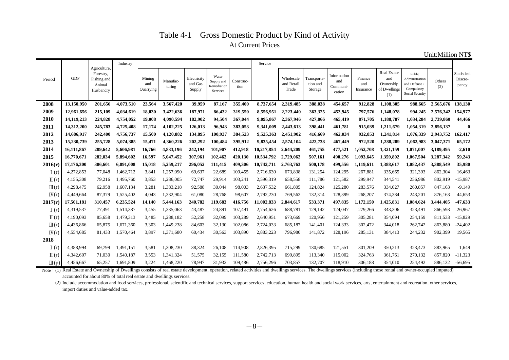### Table 4-1 Gross Domestic Product by Kind of Activity At Current Prices

Unit:Million NT\$

|                  |            |                                                                 | Industry  |                            |                    |                                  |                                                       |                   | Service    |                                  |                                    |                                          |                             |                                                               |                                                                           |               |                                 |
|------------------|------------|-----------------------------------------------------------------|-----------|----------------------------|--------------------|----------------------------------|-------------------------------------------------------|-------------------|------------|----------------------------------|------------------------------------|------------------------------------------|-----------------------------|---------------------------------------------------------------|---------------------------------------------------------------------------|---------------|---------------------------------|
| Period           | <b>GDP</b> | Agriculture,<br>Forestry,<br>Fishing and<br>Animal<br>Husbandry |           | Mining<br>and<br>Quarrying | Manufac-<br>turing | Electricity<br>and Gas<br>Supply | Water<br>Supply and<br>Remediation<br><b>Services</b> | Construc-<br>tion |            | Wholesale<br>and Retail<br>Trade | Fransporta-<br>tion and<br>Storage | Information<br>and<br>Communi-<br>cation | Finance<br>and<br>Insurance | <b>Real Estate</b><br>and<br>Ownership<br>of Dwellings<br>(1) | Public<br>Administration<br>and Defence;<br>Compulsory<br>Social Security | Others<br>(2) | Statistical<br>Discre-<br>pancy |
| 2008             | 13,150,950 | 201,656                                                         | 4,073,510 | 23,564                     | 3,567,420          | 39,959                           | 87,167                                                | 355,400           | 8,737,654  | 2,319,485                        | 388,038                            | 454,657                                  | 912,828                     | 1,108,305                                                     | 988.665                                                                   | 2,565,676     | 138,130                         |
| 2009             | 12,961,656 | 215,109                                                         | 4,034,619 | 18,030                     | 3,422,636          | 187,971                          | 86,432                                                | 319,550           | 8,556,951  | 2,223,440                        | 363,325                            | 453,945                                  | 797,576                     | 1,148,078                                                     | 994,245                                                                   | 2,576,342     | 154,977                         |
| 2010             | 14,119,213 | 224,828                                                         | 4,754,052 | 19,008                     | 4,090,594          | 182,902                          | 94,504                                                | 367,044           | 9,095,867  | 2,367,946                        | 427,866                            | 465,419                                  | 871,705                     | 1,188,787                                                     | 1,034,284                                                                 | 2,739,860     | 44,466                          |
| 2011             | 14,312,200 | 245,783                                                         | 4,725,408 | 17.174                     | 4,102,225          | 126,013                          | 96,943                                                | 383,053           | 9.341,009  | 2,443,613                        | 398,441                            | 461,781                                  | 915,039                     | 1,211,679                                                     | 1.054.319                                                                 | 2,856,137     | $\bf{0}$                        |
| 2012             | 14,686,917 | 242,400                                                         | 4,756,737 | 15,500                     | 4,120,882          | 134,895                          | 100.937                                               | 384,523           | 9,525,363  | 2,451,902                        | 416,669                            | 462,034                                  | 932,853                     | 1,241,814                                                     | 1.076.339                                                                 | 2,943,752     | 162,417                         |
| 2013             | 15,230,739 | 255,728                                                         | 5,074,385 | 15.471                     | 4,360,226          | 202,292                          | 100.484                                               | 395,912           | 9,835,454  | 2,574,104                        | 422,738                            | 467,449                                  | 972,520                     | 1,288,289                                                     | 1.062.983                                                                 | 3,047,371     | 65,172                          |
| 2014             | 16,111,867 | 289,642                                                         | 5,606,981 | 16,766                     | 4,833,196          | 242,194                          | 101,907                                               | 412,918           | 10,217,854 | 2,644,209                        | 461,755                            | 477,521                                  | 1,052,708                   | 1,321,159                                                     | 1.071.007                                                                 | 3,189,495     | $-2,610$                        |
| 2015             | 16,770,671 | 282,034                                                         | 5,894,602 | 16,597                     | 5,047,452          | 307,961                          | 102,462                                               | 420,130           | 10,534,792 | 2,729,062                        | 507,161                            | 490,276                                  | 1,093,645                   | 1,359,802                                                     | 1,067,504                                                                 | 3,287,342     | 59,243                          |
| 2016(r)          | 17,176,300 | 306,601                                                         | 6,091,008 | 15,018                     | 5,259,217          | 296,052                          | 111,415                                               | 409,306           | 10,742,711 | 2,763,763                        | 500,178                            | 499,556                                  | 1,119,611                   | 1,388,617                                                     | 1,082,437                                                                 | 3,388,549     | 35,980                          |
| I(r)             | 4,272,853  | 77.048                                                          | 1,462,712 | 3,841                      | 1,257,090          | 69,637                           | 22,689                                                | 109,455           | 2,716,630  | 673,838                          | 131,254                            | 124,295                                  | 267,881                     | 335,665                                                       | 321,393                                                                   | 862,304       | 16,463                          |
| $\Pi(r)$         | 4,155,308  | 79,216                                                          | 1,495,760 | 3.853                      | 1,286,005          | 72,747                           | 29,914                                                | 103,241           | 2,596,319  | 658,558                          | 111,786                            | 121,582                                  | 299,947                     | 344,541                                                       | 256,986                                                                   | 802,919       | $-15,987$                       |
| $\mathbb{II}(r)$ | 4,298,475  | 62,958                                                          | 1,607,134 | 3,281                      | 1,383,218          | 92,588                           | 30,044                                                | 98,003            | 2,637,532  | 661,805                          | 124,824                            | 125,280                                  | 283,576                     | 334,027                                                       | 260,857                                                                   | 847,163       | $-9,149$                        |
| IV(r)            | 4,449,664  | 87,379                                                          | 1,525,402 | 4,043                      | 1,332,904          | 61,080                           | 28,768                                                | 98,607            | 2,792,230  | 769,562                          | 132,314                            | 128,399                                  | 268,207                     | 374,384                                                       | 243,201                                                                   | 876,163       | 44,653                          |
| 2017(r)          | 17,501,181 | 310,457                                                         | 6,235,524 | 14,140                     | 5,444,163          | 240,782                          | 119,683                                               | 416,756           | 11,002,833 | 2,844,617                        | 533,371                            | 497,835                                  | 1,172,150                   | 1,425,831                                                     | 1,084,624                                                                 | 3,444,405     | $-47,633$                       |
| I(r)             | 4,319,537  | 77.491                                                          | 1,514,387 | 3.455                      | 1,335,063          | 43,487                           | 24,891                                                | 107,491           | 2,754,626  | 688,781                          | 129,142                            | 124,047                                  | 279,266                     | 343,306                                                       | 323,491                                                                   | 866,593       | $-26,967$                       |
| $\Pi(r)$         | 4.190.093  | 85,658                                                          | 1,479,313 | 3.485                      | 1,288,182          | 52,258                           | 32.099                                                | 103,289           | 2,640,951  | 673,669                          | 120,956                            | 121,259                                  | 305,281                     | 354,094                                                       | 254,159                                                                   | 811.533       | $-15,829$                       |
| $\mathbb{II}(r)$ | 4,436,866  | 65.875                                                          | 1,671,360 | 3,303                      | 1,449,238          | 84,603                           | 32,130                                                | 102,086           | 2,724,033  | 685,187                          | 141,401                            | 124,333                                  | 302,472                     | 344,018                                                       | 262,742                                                                   | 863,880       | $-24,402$                       |
| IV(r)            | 4,554,685  | 81.433                                                          | 1,570,464 | 3.897                      | 1,371,680          | 60,434                           | 30,563                                                | 103,890           | 2,883,223  | 796,980                          | 141,872                            | 128,196                                  | 285,131                     | 384,413                                                       | 244,232                                                                   | 902,399       | 19,565                          |
| 2018             |            |                                                                 |           |                            |                    |                                  |                                                       |                   |            |                                  |                                    |                                          |                             |                                                               |                                                                           |               |                                 |
| I(r)             | 4,388,994  | 69,799                                                          | 1,491,151 | 3,581                      | 1,308,230          | 38,324                           | 26,108                                                | 114,908           | 2,826,395  | 715,299                          | 130,685                            | 121,551                                  | 301,209                     | 350,213                                                       | 323,473                                                                   | 883,965       | 1,649                           |
| $\Pi(r)$         | 4,342,607  | 71,030                                                          | 1,540,187 | 3,553                      | 1,341,324          | 51,575                           | 32,155                                                | 111,580           | 2,742,713  | 699,895                          | 113,340                            | 115,002                                  | 324,763                     | 361,761                                                       | 270,132                                                                   | 857,820       | $-11,323$                       |
| $\mathbb{II}(p)$ | 4,456,667  | 65.257                                                          | 1.691.809 | 3.224                      | 1,468,220          | 78.947                           | 31.932                                                | 109.486           | 2,756,296  | 703.857                          | 132,707                            | 118,910                                  | 306,188                     | 354,010                                                       | 254,492                                                                   | 886.132       | $-56.695$                       |

Note: (1) Real Estate and Ownership of Dwellings consists of real estate development, operation, related activities and dwellings services. The dwellings services (including those rental and owner-occupied imputed) accounted for about 80% of total real estate and dwellings services.

(2) Include accommodation and food services, professional, scientific and technical services, support services, education, human health and social work services, arts, entertainment and recreation, other services, import duties and value-added tax.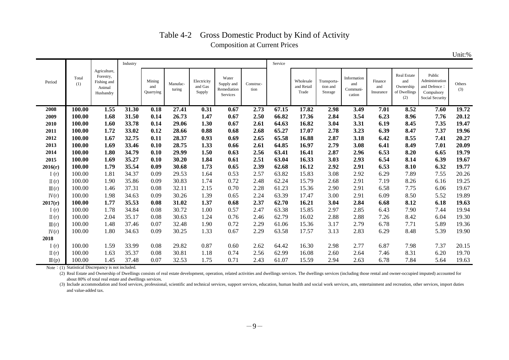# Table 4-2 Gross Domestic Product by Kind of Activity Composition at Current Prices

Unit:%

|                  |              |                                                                 | Industry |                            |                    |                                  |                                                |                   | Service |                                  |                                    |                                          |                             |                                                        |                                                                           |               |
|------------------|--------------|-----------------------------------------------------------------|----------|----------------------------|--------------------|----------------------------------|------------------------------------------------|-------------------|---------|----------------------------------|------------------------------------|------------------------------------------|-----------------------------|--------------------------------------------------------|---------------------------------------------------------------------------|---------------|
| Period           | Total<br>(1) | Agriculture,<br>Forestry,<br>Fishing and<br>Animal<br>Husbandry |          | Mining<br>and<br>Quarrying | Manufac-<br>turing | Electricity<br>and Gas<br>Supply | Water<br>Supply and<br>Remediation<br>Services | Construc-<br>tion |         | Wholesale<br>and Retail<br>Trade | Transporta-<br>tion and<br>Storage | Information<br>and<br>Communi-<br>cation | Finance<br>and<br>Insurance | Real Estate<br>and<br>Ownership<br>of Dwellings<br>(2) | Public<br>Administration<br>and Defence;<br>Compulsory<br>Social Security | Others<br>(3) |
| 2008             | 100.00       | 1.55                                                            | 31.30    | 0.18                       | 27.41              | 0.31                             | 0.67                                           | 2.73              | 67.15   | 17.82                            | 2.98                               | 3.49                                     | 7.01                        | 8.52                                                   | 7.60                                                                      | 19.72         |
| 2009             | 100.00       | 1.68                                                            | 31.50    | 0.14                       | 26.73              | 1.47                             | 0.67                                           | 2.50              | 66.82   | 17.36                            | 2.84                               | 3.54                                     | 6.23                        | 8.96                                                   | 7.76                                                                      | 20.12         |
| 2010             | 100.00       | 1.60                                                            | 33.78    | 0.14                       | 29.06              | 1.30                             | 0.67                                           | 2.61              | 64.63   | 16.82                            | 3.04                               | 3.31                                     | 6.19                        | 8.45                                                   | 7.35                                                                      | 19.47         |
| 2011             | 100.00       | 1.72                                                            | 33.02    | 0.12                       | 28.66              | 0.88                             | 0.68                                           | 2.68              | 65.27   | 17.07                            | 2.78                               | 3.23                                     | 6.39                        | 8.47                                                   | 7.37                                                                      | 19.96         |
| 2012             | 100.00       | 1.67                                                            | 32.75    | 0.11                       | 28.37              | 0.93                             | 0.69                                           | 2.65              | 65.58   | 16.88                            | 2.87                               | 3.18                                     | 6.42                        | 8.55                                                   | 7.41                                                                      | 20.27         |
| 2013             | 100.00       | 1.69                                                            | 33.46    | 0.10                       | 28.75              | 1.33                             | 0.66                                           | 2.61              | 64.85   | 16.97                            | 2.79                               | 3.08                                     | 6.41                        | 8.49                                                   | 7.01                                                                      | 20.09         |
| 2014             | 100.00       | 1.80                                                            | 34.79    | 0.10                       | 29.99              | 1.50                             | 0.63                                           | 2.56              | 63.41   | 16.41                            | 2.87                               | 2.96                                     | 6.53                        | 8.20                                                   | 6.65                                                                      | 19.79         |
| 2015             | 100.00       | 1.69                                                            | 35.27    | 0.10                       | 30.20              | 1.84                             | 0.61                                           | 2.51              | 63.04   | 16.33                            | 3.03                               | 2.93                                     | 6.54                        | 8.14                                                   | 6.39                                                                      | 19.67         |
| 2016(r)          | 100.00       | 1.79                                                            | 35.54    | 0.09                       | 30.68              | 1.73                             | 0.65                                           | 2.39              | 62.68   | 16.12                            | 2.92                               | 2.91                                     | 6.53                        | 8.10                                                   | 6.32                                                                      | 19.77         |
| I(r)             | 100.00       | 1.81                                                            | 34.37    | 0.09                       | 29.53              | 1.64                             | 0.53                                           | 2.57              | 63.82   | 15.83                            | 3.08                               | 2.92                                     | 6.29                        | 7.89                                                   | 7.55                                                                      | 20.26         |
| $\Pi(r)$         | 100.00       | 1.90                                                            | 35.86    | 0.09                       | 30.83              | 1.74                             | 0.72                                           | 2.48              | 62.24   | 15.79                            | 2.68                               | 2.91                                     | 7.19                        | 8.26                                                   | 6.16                                                                      | 19.25         |
| $\mathbb{II}(r)$ | 100.00       | 1.46                                                            | 37.31    | 0.08                       | 32.11              | 2.15                             | 0.70                                           | 2.28              | 61.23   | 15.36                            | 2.90                               | 2.91                                     | 6.58                        | 7.75                                                   | 6.06                                                                      | 19.67         |
| IV(r)            | 100.00       | 1.98                                                            | 34.63    | 0.09                       | 30.26              | 1.39                             | 0.65                                           | 2.24              | 63.39   | 17.47                            | 3.00                               | 2.91                                     | 6.09                        | 8.50                                                   | 5.52                                                                      | 19.89         |
| 2017(r)          | 100.00       | 1.77                                                            | 35.53    | 0.08                       | 31.02              | 1.37                             | 0.68                                           | 2.37              | 62.70   | 16.21                            | 3.04                               | 2.84                                     | 6.68                        | 8.12                                                   | 6.18                                                                      | 19.63         |
| I(r)             | 100.00       | 1.78                                                            | 34.84    | 0.08                       | 30.72              | 1.00                             | 0.57                                           | 2.47              | 63.38   | 15.85                            | 2.97                               | 2.85                                     | 6.43                        | 7.90                                                   | 7.44                                                                      | 19.94         |
| $\Pi(r)$         | 100.00       | 2.04                                                            | 35.17    | 0.08                       | 30.63              | 1.24                             | 0.76                                           | 2.46              | 62.79   | 16.02                            | 2.88                               | 2.88                                     | 7.26                        | 8.42                                                   | 6.04                                                                      | 19.30         |
| $\mathbb{II}(r)$ | 100.00       | 1.48                                                            | 37.46    | 0.07                       | 32.48              | 1.90                             | 0.72                                           | 2.29              | 61.06   | 15.36                            | 3.17                               | 2.79                                     | 6.78                        | 7.71                                                   | 5.89                                                                      | 19.36         |
| IV(r)            | 100.00       | 1.80                                                            | 34.63    | 0.09                       | 30.25              | 1.33                             | 0.67                                           | 2.29              | 63.58   | 17.57                            | 3.13                               | 2.83                                     | 6.29                        | 8.48                                                   | 5.39                                                                      | 19.90         |
| 2018             |              |                                                                 |          |                            |                    |                                  |                                                |                   |         |                                  |                                    |                                          |                             |                                                        |                                                                           |               |
| I(r)             | 100.00       | 1.59                                                            | 33.99    | 0.08                       | 29.82              | 0.87                             | 0.60                                           | 2.62              | 64.42   | 16.30                            | 2.98                               | 2.77                                     | 6.87                        | 7.98                                                   | 7.37                                                                      | 20.15         |
| $\Pi(r)$         | 100.00       | 1.63                                                            | 35.37    | 0.08                       | 30.81              | 1.18                             | 0.74                                           | 2.56              | 62.99   | 16.08                            | 2.60                               | 2.64                                     | 7.46                        | 8.31                                                   | 6.20                                                                      | 19.70         |
| $\mathbb{II}(p)$ | 100.00       | 1.45                                                            | 37.48    | 0.07                       | 32.53              | 1.75                             | 0.71                                           | 2.43              | 61.07   | 15.59                            | 2.94                               | 2.63                                     | 6.78                        | 7.84                                                   | 5.64                                                                      | 19.63         |

Note: (1) Statistical Discrepancy is not included.

(2) Real Estate and Ownership of Dwellings consists of real estate development, operation, related activities and dwellings services. The dwellings services (including those rental and owner-occupied imputed) accounted for about 80% of total real estate and dwellings services.

(3) Include accommodation and food services, professional, scientific and technical services, support services, education, human health and social work services, arts, entertainment and recreation, other services, import d and value-added tax.

 $-9-$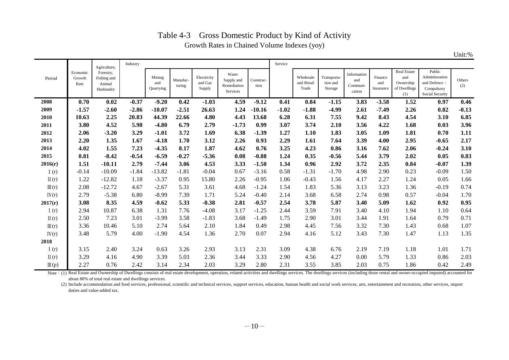|                  |                            |                                                 |          |                            |                    |                                  |                                                |                   |         |                                  |                                    |                                          |                             |                                                        |                                                                           | Unit:%        |
|------------------|----------------------------|-------------------------------------------------|----------|----------------------------|--------------------|----------------------------------|------------------------------------------------|-------------------|---------|----------------------------------|------------------------------------|------------------------------------------|-----------------------------|--------------------------------------------------------|---------------------------------------------------------------------------|---------------|
|                  |                            | Agriculture,                                    | Industry |                            |                    |                                  |                                                |                   | Service |                                  |                                    |                                          |                             |                                                        |                                                                           |               |
| Period           | Economic<br>Growth<br>Rate | Forestry,<br>Fishing and<br>Animal<br>Husbandry |          | Mining<br>and<br>Quarrying | Manufac-<br>turing | Electricity<br>and Gas<br>Supply | Water<br>Supply and<br>Remediation<br>Services | Construc-<br>tion |         | Wholesale<br>and Retail<br>Trade | Transporta-<br>tion and<br>Storage | Information<br>and<br>Communi-<br>cation | Finance<br>and<br>Insurance | Real Estate<br>and<br>Ownership<br>of Dwellings<br>(1) | Public<br>Administration<br>and Defence;<br>Compulsory<br>Social Security | Others<br>(2) |
| 2008             | 0.70                       | 0.02                                            | $-0.37$  | $-9.20$                    | 0.42               | $-1.03$                          | 4.59                                           | $-9.12$           | 0.41    | 0.84                             | $-1.15$                            | 3.83                                     | $-3.58$                     | 1.52                                                   | 0.97                                                                      | 0.46          |
| 2009             | $-1.57$                    | $-2.60$                                         | $-2.86$  | $-10.07$                   | $-2.51$            | 26.63                            | 1.24                                           | $-10.16$          | $-1.02$ | $-1.88$                          | $-4.99$                            | 2.61                                     | $-7.49$                     | 2.26                                                   | 0.82                                                                      | $-0.13$       |
| 2010             | 10.63                      | 2.25                                            | 20.83    | 44.39                      | 22.66              | 4.80                             | 4.43                                           | 13.68             | 6.28    | 6.31                             | 7.55                               | 9.42                                     | 8.43                        | 4.54                                                   | 3.10                                                                      | 6.85          |
| 2011             | 3.80                       | 4.52                                            | 5.98     | $-4.80$                    | 6.79               | 2.79                             | $-1.73$                                        | 0.99              | 3.07    | 3.74                             | 2.10                               | 3.56                                     | 4.22                        | 1.68                                                   | 0.03                                                                      | 3.96          |
| 2012             | 2.06                       | $-3.20$                                         | 3.29     | $-1.01$                    | 3.72               | 1.69                             | 6.38                                           | $-1.39$           | 1.27    | 1.10                             | 1.83                               | 3.05                                     | 1.09                        | 1.81                                                   | 0.70                                                                      | 1.11          |
| 2013             | 2.20                       | 1.35                                            | 1.67     | $-4.18$                    | 1.70               | 3.12                             | 2.26                                           | 0.93              | 2.29    | 1.61                             | 7.64                               | 3.39                                     | 4.00                        | 2.95                                                   | $-0.65$                                                                   | 2.17          |
| 2014             | 4.02                       | 1.55                                            | 7.23     | $-4.35$                    | 8.17               | 1.87                             | 4.62                                           | 0.76              | 3.25    | 4.23                             | 0.86                               | 3.16                                     | 7.62                        | 2.06                                                   | $-0.24$                                                                   | 3.10          |
| 2015             | 0.81                       | $-8.42$                                         | $-0.54$  | $-6.59$                    | $-0.27$            | $-5.36$                          | 0.08                                           | $-0.88$           | 1.24    | 0.35                             | $-0.56$                            | 5.44                                     | 3.79                        | 2.02                                                   | 0.05                                                                      | 0.83          |
| 2016(r)          | 1.51                       | $-10.11$                                        | 2.79     | $-7.44$                    | 3.06               | 4.53                             | 3.33                                           | $-1.50$           | 1.34    | 0.96                             | 2.92                               | 3.72                                     | 2.35                        | 0.84                                                   | $-0.07$                                                                   | 1.39          |
| I(r)             | $-0.14$                    | $-10.09$                                        | $-1.84$  | $-13.82$                   | $-1.81$            | $-0.04$                          | 0.67                                           | $-3.16$           | 0.58    | $-1.31$                          | $-1.70$                            | 4.98                                     | 2.90                        | 0.23                                                   | $-0.09$                                                                   | 1.50          |
| $\Pi(r)$         | 1.22                       | $-12.82$                                        | 1.18     | $-3.37$                    | 0.95               | 15.80                            | 2.26                                           | $-0.95$           | 1.06    | $-0.43$                          | 1.56                               | 4.17                                     | 2.27                        | 1.24                                                   | 0.05                                                                      | 1.66          |
| $\mathbb{II}(r)$ | 2.08                       | $-12.72$                                        | 4.67     | $-2.67$                    | 5.31               | 3.61                             | 4.68                                           | $-1.24$           | 1.54    | 1.83                             | 5.36                               | 3.13                                     | 3.23                        | 1.36                                                   | $-0.19$                                                                   | 0.74          |
| IV(r)            | 2.79                       | $-5.38$                                         | 6.80     | $-8.99$                    | 7.39               | 1.71                             | 5.24                                           | $-0.40$           | 2.14    | 3.68                             | 6.58                               | 2.74                                     | 0.98                        | 0.57                                                   | $-0.04$                                                                   | 1.70          |
| 2017(r)          | 3.08                       | 8.35                                            | 4.59     | $-0.62$                    | 5.33               | $-0.38$                          | 2.81                                           | $-0.57$           | 2.54    | 3.78                             | 5.87                               | 3.40                                     | 5.09                        | 1.62                                                   | 0.92                                                                      | 0.95          |
| I(r)             | 2.94                       | 10.87                                           | 6.38     | 1.31                       | 7.76               | $-4.08$                          | 3.17                                           | $-1.25$           | 2.44    | 3.59                             | 7.91                               | 3.40                                     | 4.10                        | 1.94                                                   | 1.10                                                                      | 0.64          |
| $\Pi(r)$         | 2.50                       | 7.23                                            | 3.01     | $-3.99$                    | 3.58               | $-1.83$                          | 3.68                                           | $-1.49$           | 1.75    | 2.90                             | 3.01                               | 3.44                                     | 1.91                        | 1.64                                                   | 0.79                                                                      | 0.71          |
| $\mathbb{II}(r)$ | 3.36                       | 10.46                                           | 5.10     | 2.74                       | 5.64               | 2.10                             | 1.84                                           | 0.49              | 2.98    | 4.45                             | 7.56                               | 3.32                                     | 7.30                        | 1.43                                                   | 0.68                                                                      | 1.07          |
| IV(r)            | 3.48                       | 5.79                                            | 4.00     | $-1.90$                    | 4.54               | 1.36                             | 2.70                                           | 0.07              | 2.94    | 4.16                             | 5.12                               | 3.43                                     | 7.30                        | 1.47                                                   | 1.13                                                                      | 1.35          |
| 2018             |                            |                                                 |          |                            |                    |                                  |                                                |                   |         |                                  |                                    |                                          |                             |                                                        |                                                                           |               |
| I(r)             | 3.15                       | 2.40                                            | 3.24     | 0.63                       | 3.26               | 2.93                             | 3.13                                           | 2.31              | 3.09    | 4.38                             | 6.76                               | 2.19                                     | 7.19                        | 1.18                                                   | 1.01                                                                      | 1.71          |
| $\Pi(r)$         | 3.29                       | 4.16                                            | 4.90     | 3.39                       | 5.03               | 2.36                             | 3.44                                           | 3.33              | 2.90    | 4.56                             | 4.27                               | 0.00                                     | 5.79                        | 1.33                                                   | 0.86                                                                      | 2.03          |
| $\mathbb{II}(p)$ | 2.27                       | 0.76                                            | 2.42     | 3.14                       | 2.34               | 2.03                             | 3.29                                           | 2.80              | 2.31    | 3.55                             | 3.85                               | 2.03                                     | 0.75                        | 1.86                                                   | 0.42                                                                      | 2.49          |

### Table 4-3 Gross Domestic Product by Kind of Activity Growth Rates in Chained Volume Indexes (yoy)

 $\blacksquare$ 

Note: (1) Real Estate and Ownership of Dwellings consists of real estate development, operation, related activities and dwellings services. The dwellings services (including those rental and owner-occupied imputed) account about 80% of total real estate and dwellings services.

(2) Include accommodation and food services, professional, scientific and technical services, support services, education, human health and social work services, arts, entertainment and recreation, other services, import duties and value-added tax.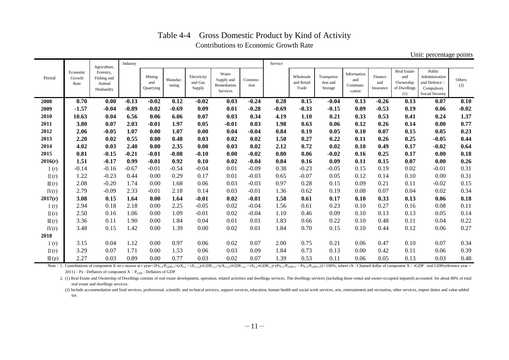|                  |                            |                                                 |          |                            |                    |                                  |                                                |                   |         |                                  |                                    |                                          |                             |                                                               | -- <i>------</i> 0- r                                                     |               |
|------------------|----------------------------|-------------------------------------------------|----------|----------------------------|--------------------|----------------------------------|------------------------------------------------|-------------------|---------|----------------------------------|------------------------------------|------------------------------------------|-----------------------------|---------------------------------------------------------------|---------------------------------------------------------------------------|---------------|
|                  |                            | Agriculture,                                    | Industry |                            |                    |                                  |                                                |                   | Service |                                  |                                    |                                          |                             |                                                               |                                                                           |               |
| Period           | Economic<br>Growth<br>Rate | Forestry,<br>Fishing and<br>Animal<br>Husbandry |          | Mining<br>and<br>Quarrying | Manufac-<br>turing | Electricity<br>and Gas<br>Supply | Water<br>Supply and<br>Remediation<br>Services | Construc-<br>tion |         | Wholesale<br>and Retail<br>Trade | Transporta-<br>tion and<br>Storage | Information<br>and<br>Communi-<br>cation | Finance<br>and<br>Insurance | <b>Real Estate</b><br>and<br>Ownership<br>of Dwellings<br>(1) | Public<br>Administration<br>and Defence;<br>Compulsory<br>Social Security | Others<br>(2) |
| 2008             | 0.70                       | 0.00                                            | $-0.13$  | $-0.02$                    | 0.12               | $-0.02$                          | 0.03                                           | $-0.24$           | 0.28    | 0.15                             | $-0.04$                            | 0.13                                     | $-0.26$                     | 0.13                                                          | 0.07                                                                      | 0.10          |
| 2009             | $-1.57$                    | $-0.04$                                         | $-0.89$  | $-0.02$                    | $-0.69$            | 0.09                             | 0.01                                           | $-0.28$           | $-0.69$ | $-0.33$                          | $-0.15$                            | 0.09                                     | $-0.53$                     | 0.19                                                          | 0.06                                                                      | $-0.02$       |
| 2010             | 10.63                      | 0.04                                            | 6.56     | 0.06                       | 6.06               | 0.07                             | 0.03                                           | 0.34              | 4.19    | 1.10                             | 0.21                               | 0.33                                     | 0.53                        | 0.41                                                          | 0.24                                                                      | 1.37          |
| 2011             | 3.80                       | 0.07                                            | 2.03     | $-0.01$                    | 1.97               | 0.05                             | $-0.01$                                        | 0.03              | 1.98    | 0.63                             | 0.06                               | 0.12                                     | 0.26                        | 0.14                                                          | 0.00                                                                      | 0.77          |
| 2012             | 2.06                       | $-0.05$                                         | 1.07     | 0.00                       | 1.07               | 0.00                             | 0.04                                           | $-0.04$           | 0.84    | 0.19                             | 0.05                               | 0.10                                     | 0.07                        | 0.15                                                          | 0.05                                                                      | 0.23          |
| 2013             | 2.20                       | 0.02                                            | 0.55     | 0.00                       | 0.48               | 0.03                             | 0.02                                           | 0.02              | 1.50    | 0.27                             | 0.22                               | 0.11                                     | 0.26                        | 0.25                                                          | $-0.05$                                                                   | 0.44          |
| 2014             | 4.02                       | 0.03                                            | 2.40     | 0.00                       | 2.35               | 0.00                             | 0.03                                           | 0.02              | 2.12    | 0.72                             | 0.02                               | 0.10                                     | 0.49                        | 0.17                                                          | $-0.02$                                                                   | 0.64          |
| 2015             | 0.81                       | $-0.15$                                         | $-0.21$  | $-0.01$                    | $-0.08$            | $-0.10$                          | 0.00                                           | $-0.02$           | 0.80    | 0.06                             | $-0.02$                            | 0.16                                     | 0.25                        | 0.17                                                          | 0.00                                                                      | 0.18          |
| 2016(r)          | 1.51                       | $-0.17$                                         | 0.99     | $-0.01$                    | 0.92               | 0.10                             | 0.02                                           | $-0.04$           | 0.84    | 0.16                             | 0.09                               | 0.11                                     | 0.15                        | 0.07                                                          | 0.00                                                                      | 0.26          |
| I(r)             | $-0.14$                    | $-0.16$                                         | $-0.67$  | $-0.01$                    | $-0.54$            | $-0.04$                          | 0.01                                           | $-0.09$           | 0.38    | $-0.23$                          | $-0.05$                            | 0.15                                     | 0.19                        | 0.02                                                          | $-0.01$                                                                   | 0.31          |
| $\Pi(r)$         | 1.22                       | $-0.23$                                         | 0.44     | 0.00                       | 0.29               | 0.17                             | 0.01                                           | $-0.03$           | 0.65    | $-0.07$                          | 0.05                               | 0.12                                     | 0.14                        | 0.10                                                          | 0.00                                                                      | 0.31          |
| $\mathbb{II}(r)$ | 2.08                       | $-0.20$                                         | 1.74     | 0.00                       | 1.68               | 0.06                             | 0.03                                           | $-0.03$           | 0.97    | 0.28                             | 0.15                               | 0.09                                     | 0.21                        | 0.11                                                          | $-0.02$                                                                   | 0.15          |
| IV(r)            | 2.79                       | $-0.09$                                         | 2.33     | $-0.01$                    | 2.18               | 0.14                             | 0.03                                           | $-0.01$           | 1.36    | 0.62                             | 0.19                               | 0.08                                     | 0.07                        | 0.04                                                          | 0.02                                                                      | 0.34          |
| 2017(r)          | 3.08                       | 0.15                                            | 1.64     | 0.00                       | 1.64               | $-0.01$                          | 0.02                                           | $-0.01$           | 1.58    | 0.61                             | 0.17                               | 0.10                                     | 0.33                        | 0.13                                                          | 0.06                                                                      | 0.18          |
| I(r)             | 2.94                       | 0.18                                            | 2.18     | 0.00                       | 2.25               | $-0.05$                          | 0.02                                           | $-0.04$           | 1.56    | 0.61                             | 0.23                               | 0.10                                     | 0.27                        | 0.16                                                          | 0.08                                                                      | 0.11          |
| $\Pi(r)$         | 2.50                       | 0.16                                            | 1.06     | 0.00                       | 1.09               | $-0.01$                          | 0.02                                           | $-0.04$           | 1.10    | 0.46                             | 0.09                               | 0.10                                     | 0.13                        | 0.13                                                          | 0.05                                                                      | 0.14          |
| $\mathbb{II}(r)$ | 3.36                       | 0.11                                            | 1.90     | 0.00                       | 1.84               | 0.04                             | 0.01                                           | 0.01              | 1.83    | 0.66                             | 0.22                               | 0.10                                     | 0.48                        | 0.11                                                          | 0.04                                                                      | 0.22          |
| IV(r)            | 3.48                       | 0.15                                            | 1.42     | 0.00                       | 1.39               | 0.00                             | 0.02                                           | 0.01              | 1.84    | 0.70                             | 0.15                               | 0.10                                     | 0.44                        | 0.12                                                          | 0.06                                                                      | 0.27          |
| 2018             |                            |                                                 |          |                            |                    |                                  |                                                |                   |         |                                  |                                    |                                          |                             |                                                               |                                                                           |               |
| I(r)             | 3.15                       | 0.04                                            | 1.12     | 0.00                       | 0.97               | 0.06                             | 0.02                                           | 0.07              | 2.00    | 0.75                             | 0.21                               | 0.06                                     | 0.47                        | 0.10                                                          | 0.07                                                                      | 0.34          |
| $\Pi(r)$         | 3.29                       | 0.07                                            | 1.71     | 0.00                       | 1.53               | 0.06                             | 0.03                                           | 0.09              | 1.84    | 0.73                             | 0.13                               | 0.00                                     | 0.42                        | 0.11                                                          | 0.06                                                                      | 0.39          |
| $\mathbb{II}(p)$ | 2.27                       | 0.03                                            | 0.89     | 0.00                       | 0.77               | 0.03                             | 0.02                                           | 0.07              | 1.39    | 0.53                             | 0.11                               | 0.06                                     | 0.05                        | 0.13                                                          | 0.03                                                                      | 0.48          |

## Table 4-4 Gross Domestic Product by Kind of Activity Contributions to Economic Growth Rate

Unit: percentage points

Note: 1. Contributions of component X on s season at t year={ $P_{X_{t-1}}P_{GDP_{t-1}} \times (TX_{t,s} - rX_{t-1,s})/rGDP_{t-1,s} + (rX_{t-1,s}rGDP_{t-1,s} - rX_{t-1,s}rGDP_{t-1}) \times (P_{X_{t-1}}P_{GDP_{t-1}}) + P_{X_{t-2}}P_{GDP_{t-2}})$  > 100%, where rX : Chained dollar of  $2011$ ); Px : Deflators of component X; P<sub>GDP</sub> : Deflators of GDP.

2. (1) Real Estate and Ownership of Dwellings consists of real estate development, operation, related activities and dwellings services. The dwellings services (including those rental and owner-occupied imputed) accounted real estate and dwellings services.

(2) Include accommodation and food services, professional, scientific and technical services, support services, education, human health and social work services, arts, entertainment and recreation, other services, import d

tax.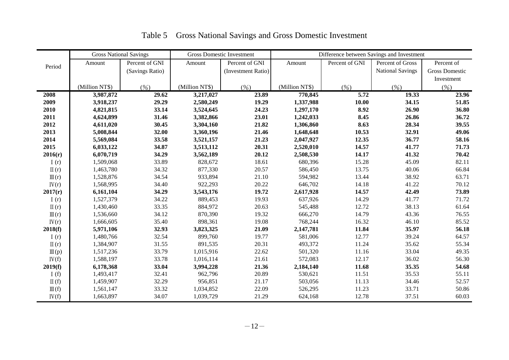|                  | <b>Gross National Savings</b> |                 |                | <b>Gross Domestic Investment</b> | Difference between Savings and Investment |                |                         |                       |  |  |
|------------------|-------------------------------|-----------------|----------------|----------------------------------|-------------------------------------------|----------------|-------------------------|-----------------------|--|--|
| Period           | Amount                        | Percent of GNI  | Amount         | Percent of GNI                   | Amount                                    | Percent of GNI | Percent of Gross        | Percent of            |  |  |
|                  |                               | (Savings Ratio) |                | (Investment Ratio)               |                                           |                | <b>National Savings</b> | <b>Gross Domestic</b> |  |  |
|                  |                               |                 |                |                                  |                                           |                |                         | Investment            |  |  |
|                  | (Million NT\$)                | (%)             | (Million NT\$) | (% )                             | (Million NT\$)                            | (%)            | (% )                    | (% )                  |  |  |
| 2008             | 3,987,872                     | 29.62           | 3,217,027      | 23.89                            | 770,845                                   | 5.72           | 19.33                   | 23.96                 |  |  |
| 2009             | 3,918,237                     | 29.29           | 2,580,249      | 19.29                            | 1,337,988                                 | 10.00          | 34.15                   | 51.85                 |  |  |
| 2010             | 4,821,815                     | 33.14           | 3,524,645      | 24.23                            | 1,297,170                                 | 8.92           | 26.90                   | 36.80                 |  |  |
| 2011             | 4,624,899                     | 31.46           | 3,382,866      | 23.01                            | 1,242,033                                 | 8.45           | 26.86                   | 36.72                 |  |  |
| 2012             | 4,611,020                     | 30.45           | 3,304,160      | 21.82                            | 1,306,860                                 | 8.63           | 28.34                   | 39.55                 |  |  |
| 2013             | 5,008,844                     | 32.00           | 3,360,196      | 21.46                            | 1,648,648                                 | 10.53          | 32.91                   | 49.06                 |  |  |
| 2014             | 5,569,084                     | 33.58           | 3,521,157      | 21.23                            | 2,047,927                                 | 12.35          | 36.77                   | 58.16                 |  |  |
| 2015             | 6,033,122                     | 34.87           | 3,513,112      | 20.31                            | 2,520,010                                 | 14.57          | 41.77                   | 71.73                 |  |  |
| 2016(r)          | 6,070,719                     | 34.29           | 3,562,189      | 20.12                            | 2,508,530                                 | 14.17          | 41.32                   | 70.42                 |  |  |
| I(r)             | 1,509,068                     | 33.89           | 828,672        | 18.61                            | 680,396                                   | 15.28          | 45.09                   | 82.11                 |  |  |
| $\Pi(r)$         | 1,463,780                     | 34.32           | 877,330        | 20.57                            | 586,450                                   | 13.75          | 40.06                   | 66.84                 |  |  |
| $\mathbb{II}(r)$ | 1,528,876                     | 34.54           | 933,894        | 21.10                            | 594,982                                   | 13.44          | 38.92                   | 63.71                 |  |  |
| IV(r)            | 1,568,995                     | 34.40           | 922,293        | 20.22                            | 646,702                                   | 14.18          | 41.22                   | 70.12                 |  |  |
| 2017(r)          | 6,161,104                     | 34.29           | 3,543,176      | 19.72                            | 2,617,928                                 | 14.57          | 42.49                   | 73.89                 |  |  |
| I(r)             | 1,527,379                     | 34.22           | 889,453        | 19.93                            | 637,926                                   | 14.29          | 41.77                   | 71.72                 |  |  |
| $\Pi(r)$         | 1,430,460                     | 33.35           | 884,972        | 20.63                            | 545,488                                   | 12.72          | 38.13                   | 61.64                 |  |  |
| $\mathbb{II}(r)$ | 1,536,660                     | 34.12           | 870,390        | 19.32                            | 666,270                                   | 14.79          | 43.36                   | 76.55                 |  |  |
| IV(r)            | 1,666,605                     | 35.40           | 898,361        | 19.08                            | 768,244                                   | 16.32          | 46.10                   | 85.52                 |  |  |
| 2018(f)          | 5,971,106                     | 32.93           | 3,823,325      | 21.09                            | 2,147,781                                 | 11.84          | 35.97                   | 56.18                 |  |  |
| I(r)             | 1,480,766                     | 32.54           | 899,760        | 19.77                            | 581,006                                   | 12.77          | 39.24                   | 64.57                 |  |  |
| $\Pi(r)$         | 1,384,907                     | 31.55           | 891,535        | 20.31                            | 493,372                                   | 11.24          | 35.62                   | 55.34                 |  |  |
| $\mathbb{II}(p)$ | 1,517,236                     | 33.79           | 1,015,916      | 22.62                            | 501,320                                   | 11.16          | 33.04                   | 49.35                 |  |  |
| IV(f)            | 1,588,197                     | 33.78           | 1,016,114      | 21.61                            | 572,083                                   | 12.17          | 36.02                   | 56.30                 |  |  |
| 2019(f)          | 6,178,368                     | 33.04           | 3,994,228      | 21.36                            | 2,184,140                                 | 11.68          | 35.35                   | 54.68                 |  |  |
| I $(f)$          | 1,493,417                     | 32.41           | 962,796        | 20.89                            | 530,621                                   | 11.51          | 35.53                   | 55.11                 |  |  |
| $\Pi(f)$         | 1,459,907                     | 32.29           | 956,851        | 21.17                            | 503,056                                   | 11.13          | 34.46                   | 52.57                 |  |  |
| $\mathbb{II}(f)$ | 1,561,147                     | 33.32           | 1,034,852      | 22.09                            | 526,295                                   | 11.23          | 33.71                   | 50.86                 |  |  |
| IV(f)            | 1,663,897                     | 34.07           | 1,039,729      | 21.29                            | 624,168                                   | 12.78          | 37.51                   | 60.03                 |  |  |

# Table 5 Gross National Savings and Gross Domestic Investment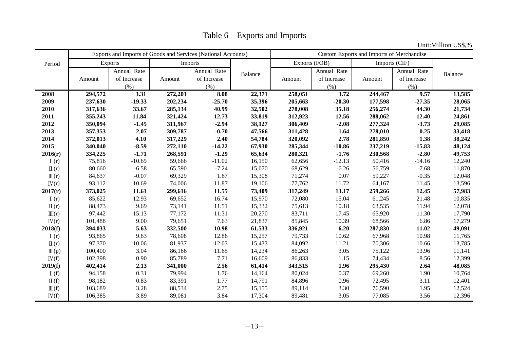Table 6 Exports and Imports

Unit:Million US\$,%

|                  |         | Exports and Imports of Goods and Services (National Accounts) |         |             | Custom Exports and Imports of Merchandise |               |             |         |               |                |
|------------------|---------|---------------------------------------------------------------|---------|-------------|-------------------------------------------|---------------|-------------|---------|---------------|----------------|
| Period           |         | <b>Exports</b>                                                |         | Imports     |                                           | Exports (FOB) |             |         | Imports (CIF) |                |
|                  |         | Annual Rate                                                   |         | Annual Rate | Balance                                   |               | Annual Rate |         | Annual Rate   | <b>Balance</b> |
|                  | Amount  | of Increase                                                   | Amount  | of Increase |                                           | Amount        | of Increase | Amount  | of Increase   |                |
|                  |         | (% )                                                          |         | (% )        |                                           |               | (% )        |         | (% )          |                |
| 2008             | 294,572 | 3.31                                                          | 272,201 | 8.08        | 22,371                                    | 258,051       | 3.72        | 244,467 | 9.57          | 13,585         |
| 2009             | 237,630 | $-19.33$                                                      | 202,234 | $-25.70$    | 35,396                                    | 205,663       | $-20.30$    | 177,598 | $-27.35$      | 28,065         |
| 2010             | 317,636 | 33.67                                                         | 285,134 | 40.99       | 32,502                                    | 278,008       | 35.18       | 256,274 | 44.30         | 21,734         |
| 2011             | 355,243 | 11.84                                                         | 321,424 | 12.73       | 33,819                                    | 312,923       | 12.56       | 288,062 | 12.40         | 24,861         |
| 2012             | 350,094 | $-1.45$                                                       | 311,967 | $-2.94$     | 38,127                                    | 306,409       | $-2.08$     | 277,324 | $-3.73$       | 29,085         |
| 2013             | 357,353 | 2.07                                                          | 309,787 | $-0.70$     | 47,566                                    | 311,428       | 1.64        | 278,010 | 0.25          | 33,418         |
| 2014             | 372,013 | 4.10                                                          | 317,229 | 2.40        | 54,784                                    | 320,092       | 2.78        | 281,850 | 1.38          | 38,242         |
| 2015             | 340,040 | $-8.59$                                                       | 272,110 | $-14.22$    | 67,930                                    | 285,344       | $-10.86$    | 237,219 | $-15.83$      | 48,124         |
| 2016(r)          | 334,225 | $-1.71$                                                       | 268,591 | $-1.29$     | 65,634                                    | 280,321       | $-1.76$     | 230,568 | $-2.80$       | 49,753         |
| I(r)             | 75,816  | $-10.69$                                                      | 59,666  | $-11.02$    | 16,150                                    | 62,656        | $-12.13$    | 50,416  | $-14.16$      | 12,240         |
| $\Pi(r)$         | 80,660  | $-6.58$                                                       | 65,590  | $-7.24$     | 15,070                                    | 68,629        | $-6.26$     | 56,759  | $-7.68$       | 11,870         |
| $\mathbb{II}(r)$ | 84,637  | $-0.07$                                                       | 69,329  | 1.67        | 15,308                                    | 71,274        | 0.07        | 59,227  | $-0.35$       | 12,048         |
| IV(r)            | 93,112  | 10.69                                                         | 74,006  | 11.87       | 19,106                                    | 77,762        | 11.72       | 64,167  | 11.45         | 13,596         |
| 2017(r)          | 373,025 | 11.61                                                         | 299,616 | 11.55       | 73,409                                    | 317,249       | 13.17       | 259,266 | 12.45         | 57,983         |
| I(r)             | 85,622  | 12.93                                                         | 69,652  | 16.74       | 15,970                                    | 72,080        | 15.04       | 61,245  | 21.48         | 10,835         |
| $\Pi(r)$         | 88,473  | 9.69                                                          | 73,141  | 11.51       | 15,332                                    | 75,613        | 10.18       | 63,535  | 11.94         | 12,078         |
| $\mathbb{II}(r)$ | 97,442  | 15.13                                                         | 77,172  | 11.31       | 20,270                                    | 83,711        | 17.45       | 65,920  | 11.30         | 17,790         |
| IV(r)            | 101,488 | 9.00                                                          | 79,651  | 7.63        | 21,837                                    | 85,845        | 10.39       | 68,566  | 6.86          | 17,279         |
| 2018(f)          | 394,033 | 5.63                                                          | 332,500 | 10.98       | 61,533                                    | 336,921       | 6.20        | 287,830 | 11.02         | 49,091         |
| I(r)             | 93,865  | 9.63                                                          | 78,608  | 12.86       | 15,257                                    | 79,733        | 10.62       | 67,968  | 10.98         | 11,765         |
| $\Pi(r)$         | 97,370  | 10.06                                                         | 81,937  | 12.03       | 15,433                                    | 84,092        | 11.21       | 70,306  | 10.66         | 13,785         |
| $\mathbb{II}(p)$ | 100,400 | 3.04                                                          | 86,166  | 11.65       | 14,234                                    | 86,263        | 3.05        | 75,122  | 13.96         | 11,141         |
| IV(f)            | 102,398 | 0.90                                                          | 85,789  | 7.71        | 16,609                                    | 86,833        | 1.15        | 74,434  | 8.56          | 12,399         |
| 2019(f)          | 402,414 | 2.13                                                          | 341,000 | 2.56        | 61,414                                    | 343,515       | 1.96        | 295,430 | 2.64          | 48,085         |
| I(f)             | 94,158  | 0.31                                                          | 79,994  | 1.76        | 14,164                                    | 80,024        | 0.37        | 69,260  | 1.90          | 10,764         |
| $\Pi(f)$         | 98,182  | 0.83                                                          | 83,391  | 1.77        | 14,791                                    | 84,896        | 0.96        | 72,495  | 3.11          | 12,401         |
| $\mathbb{II}(f)$ | 103,689 | 3.28                                                          | 88,534  | 2.75        | 15,155                                    | 89,114        | 3.30        | 76,590  | 1.95          | 12,524         |
| IV(f)            | 106,385 | 3.89                                                          | 89,081  | 3.84        | 17,304                                    | 89,481        | 3.05        | 77,085  | 3.56          | 12,396         |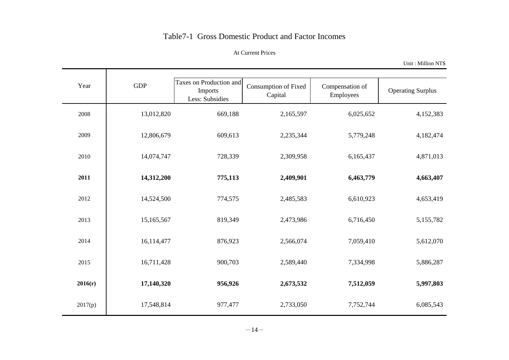## Table7-1 Gross Domestic Product and Factor Incomes

#### At Current Prices

Unit : Million NT\$

| Year    | <b>GDP</b> | Taxes on Production and    |                                 |                              |                          |
|---------|------------|----------------------------|---------------------------------|------------------------------|--------------------------|
|         |            | Imports<br>Less: Subsidies | Consumption of Fixed<br>Capital | Compensation of<br>Employees | <b>Operating Surplus</b> |
| 2008    | 13,012,820 | 669,188                    | 2,165,597                       | 6,025,652                    | 4,152,383                |
| 2009    | 12,806,679 | 609,613                    | 2,235,344                       | 5,779,248                    | 4,182,474                |
| 2010    | 14,074,747 | 728,339                    | 2,309,958                       | 6,165,437                    | 4,871,013                |
| 2011    | 14,312,200 | 775,113                    | 2,409,901                       | 6,463,779                    | 4,663,407                |
| 2012    | 14,524,500 | 774,575                    | 2,485,583                       | 6,610,923                    | 4,653,419                |
| 2013    | 15,165,567 | 819,349                    | 2,473,986                       | 6,716,450                    | 5,155,782                |
| 2014    | 16,114,477 | 876,923                    | 2,566,074                       | 7,059,410                    | 5,612,070                |
| 2015    | 16,711,428 | 900,703                    | 2,589,440                       | 7,334,998                    | 5,886,287                |
| 2016(r) | 17,140,320 | 956,926                    | 2,673,532                       | 7,512,059                    | 5,997,803                |
| 2017(p) | 17,548,814 | 977,477                    | 2,733,050                       | 7,752,744                    | 6,085,543                |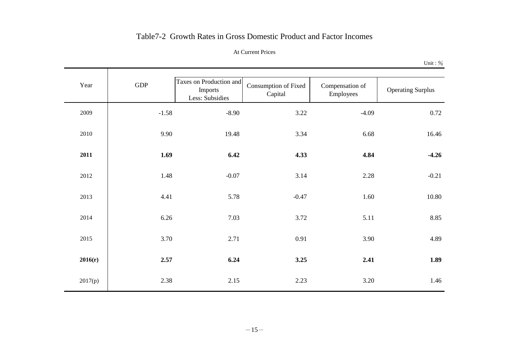## Table7-2 Growth Rates in Gross Domestic Product and Factor Incomes

#### At Current Prices

Unit : %

| Year    | GDP     | Taxes on Production and<br>Imports<br>Less: Subsidies | Consumption of Fixed<br>Capital | Compensation of<br>Employees | <b>Operating Surplus</b> |
|---------|---------|-------------------------------------------------------|---------------------------------|------------------------------|--------------------------|
| 2009    | $-1.58$ | $-8.90$                                               | 3.22                            | $-4.09$                      | 0.72                     |
| 2010    | 9.90    | 19.48                                                 | 3.34                            | 6.68                         | 16.46                    |
| 2011    | 1.69    | 6.42                                                  | 4.33                            | 4.84                         | $-4.26$                  |
| 2012    | 1.48    | $-0.07$                                               | 3.14                            | 2.28                         | $-0.21$                  |
| 2013    | 4.41    | 5.78                                                  | $-0.47$                         | 1.60                         | 10.80                    |
| 2014    | 6.26    | 7.03                                                  | 3.72                            | 5.11                         | 8.85                     |
| 2015    | 3.70    | 2.71                                                  | 0.91                            | 3.90                         | 4.89                     |
| 2016(r) | 2.57    | 6.24                                                  | 3.25                            | 2.41                         | 1.89                     |
| 2017(p) | 2.38    | 2.15                                                  | 2.23                            | 3.20                         | 1.46                     |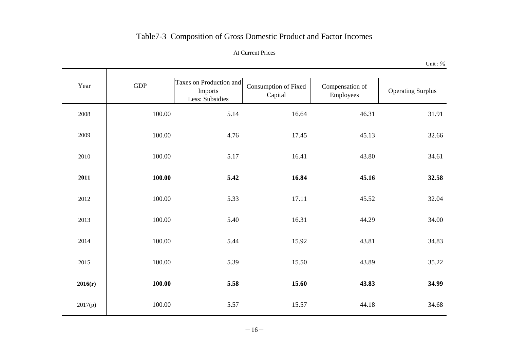# Table7-3 Composition of Gross Domestic Product and Factor Incomes

#### At Current Prices

Unit : %

| Year    | <b>GDP</b> | Taxes on Production and<br>Imports<br>Less: Subsidies | Consumption of Fixed<br>Capital | Compensation of<br>Employees | <b>Operating Surplus</b> |
|---------|------------|-------------------------------------------------------|---------------------------------|------------------------------|--------------------------|
| 2008    | 100.00     | 5.14                                                  | 16.64                           | 46.31                        | 31.91                    |
| 2009    | 100.00     | 4.76                                                  | 17.45                           | 45.13                        | 32.66                    |
| 2010    | 100.00     | 5.17                                                  | 16.41                           | 43.80                        | 34.61                    |
| 2011    | 100.00     | 5.42                                                  | 16.84                           | 45.16                        | 32.58                    |
| 2012    | 100.00     | 5.33                                                  | 17.11                           | 45.52                        | 32.04                    |
| 2013    | 100.00     | 5.40                                                  | 16.31                           | 44.29                        | 34.00                    |
| 2014    | 100.00     | 5.44                                                  | 15.92                           | 43.81                        | 34.83                    |
| 2015    | 100.00     | 5.39                                                  | 15.50                           | 43.89                        | 35.22                    |
| 2016(r) | 100.00     | 5.58                                                  | 15.60                           | 43.83                        | 34.99                    |
| 2017(p) | 100.00     | 5.57                                                  | 15.57                           | 44.18                        | 34.68                    |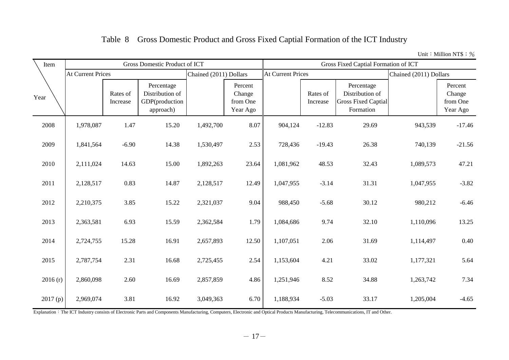# Table 8 Gross Domestic Product and Gross Fixed Captial Formation of the ICT Industry

Unit: Million NT\$; %

| Item    |                          |                      | Gross Domestic Product of ICT                                |                        |                                           | Gross Fixed Captial Formation of ICT |                      |                                                                          |                        |                                           |  |  |  |
|---------|--------------------------|----------------------|--------------------------------------------------------------|------------------------|-------------------------------------------|--------------------------------------|----------------------|--------------------------------------------------------------------------|------------------------|-------------------------------------------|--|--|--|
|         | <b>At Current Prices</b> |                      |                                                              | Chained (2011) Dollars |                                           | <b>At Current Prices</b>             |                      |                                                                          | Chained (2011) Dollars |                                           |  |  |  |
| Year    |                          | Rates of<br>Increase | Percentage<br>Distribution of<br>GDP(production<br>approach) |                        | Percent<br>Change<br>from One<br>Year Ago |                                      | Rates of<br>Increase | Percentage<br>Distribution of<br><b>Gross Fixed Captial</b><br>Formation |                        | Percent<br>Change<br>from One<br>Year Ago |  |  |  |
| 2008    | 1,978,087                | 1.47                 | 15.20                                                        | 1,492,700              | 8.07                                      | 904,124                              | $-12.83$             | 29.69                                                                    | 943,539                | $-17.46$                                  |  |  |  |
| 2009    | 1,841,564                | $-6.90$              | 14.38                                                        | 1,530,497              | 2.53                                      | 728,436                              | $-19.43$             | 26.38                                                                    | 740,139                | $-21.56$                                  |  |  |  |
| 2010    | 2,111,024                | 14.63<br>15.00       |                                                              | 1,892,263              | 23.64                                     | 1,081,962                            | 48.53                | 32.43                                                                    | 1,089,573              | 47.21                                     |  |  |  |
| 2011    | 2,128,517                | 0.83                 | 14.87                                                        | 2,128,517              | 12.49                                     | 1,047,955                            | $-3.14$              | 31.31                                                                    | 1,047,955              | $-3.82$                                   |  |  |  |
| 2012    | 2,210,375                | 3.85                 | 15.22                                                        | 2,321,037              | 9.04                                      | 988,450                              | $-5.68$              | 30.12                                                                    | 980,212                | $-6.46$                                   |  |  |  |
| 2013    | 2,363,581                | 6.93                 | 15.59                                                        | 2,362,584              | 1.79                                      | 1,084,686                            | 9.74                 | 32.10                                                                    | 1,110,096              | 13.25                                     |  |  |  |
| 2014    | 2,724,755                | 15.28                | 16.91                                                        | 2,657,893              | 12.50                                     | 1,107,051                            | 2.06                 | 31.69                                                                    | 1,114,497              | 0.40                                      |  |  |  |
| 2015    | 2,787,754                | 2.31                 | 16.68                                                        | 2,725,455              | 2.54                                      | 1,153,604                            | 4.21                 | 33.02                                                                    | 1,177,321              | 5.64                                      |  |  |  |
| 2016(r) | 2,860,098                | 2.60                 | 16.69                                                        | 2,857,859              | 4.86                                      | 1,251,946                            | 8.52                 | 34.88                                                                    | 1,263,742              | 7.34                                      |  |  |  |
| 2017(p) | 2,969,074                | 3.81                 | 16.92                                                        | 3,049,363              | 6.70                                      | 1,188,934                            | $-5.03$              | 33.17                                                                    | 1,205,004              | $-4.65$                                   |  |  |  |

Explanation: The ICT Industry consists of Electronic Parts and Components Manufacturing, Computers, Electronic and Optical Products Manufacturing, Telecommunications, IT and Other.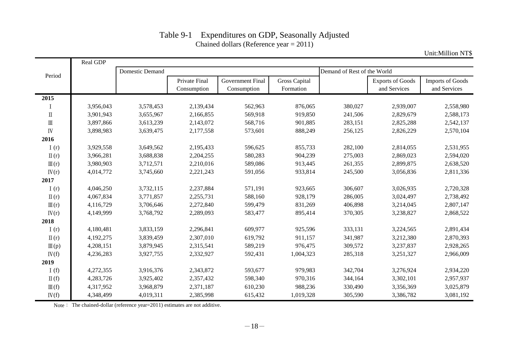|                                 | Real GDP  |                 |                              |                                        |                                   |                             |                                         |                                         |
|---------------------------------|-----------|-----------------|------------------------------|----------------------------------------|-----------------------------------|-----------------------------|-----------------------------------------|-----------------------------------------|
|                                 |           | Domestic Demand |                              |                                        |                                   | Demand of Rest of the World |                                         |                                         |
| Period                          |           |                 | Private Final<br>Consumption | <b>Government Final</b><br>Consumption | <b>Gross Capital</b><br>Formation |                             | <b>Exports of Goods</b><br>and Services | <b>Imports of Goods</b><br>and Services |
| 2015                            |           |                 |                              |                                        |                                   |                             |                                         |                                         |
|                                 | 3,956,043 | 3,578,453       | 2,139,434                    | 562,963                                | 876,065                           | 380,027                     | 2,939,007                               | 2,558,980                               |
| $\rm \Pi$                       | 3,901,943 | 3,655,967       | 2,166,855                    | 569,918                                | 919,850                           | 241,506                     | 2,829,679                               | 2,588,173                               |
| $\rm{I\!I}$                     | 3,897,866 | 3,613,239       | 2,143,072                    | 568,716                                | 901,885                           | 283,151                     | 2,825,288                               | 2,542,137                               |
| $\ensuremath{\text{IV}}\xspace$ | 3,898,983 | 3,639,475       | 2,177,558                    | 573,601                                | 888,249                           | 256,125                     | 2,826,229                               | 2,570,104                               |
| 2016                            |           |                 |                              |                                        |                                   |                             |                                         |                                         |
| I(r)                            | 3,929,558 | 3,649,562       | 2,195,433                    | 596,625                                | 855,733                           | 282,100                     | 2,814,055                               | 2,531,955                               |
| $\Pi(r)$                        | 3,966,281 | 3,688,838       | 2,204,255                    | 580,283                                | 904,239                           | 275,003                     | 2,869,023                               | 2,594,020                               |
| $\mathbb{II}(r)$                | 3,980,903 | 3,712,571       | 2,210,016                    | 589,086                                | 913,445                           | 261,355                     | 2,899,875                               | 2,638,520                               |
| IV(r)                           | 4,014,772 | 3,745,660       | 2,221,243                    | 591,056                                | 933,814                           | 245,500                     | 3,056,836                               | 2,811,336                               |
| 2017                            |           |                 |                              |                                        |                                   |                             |                                         |                                         |
| I(r)                            | 4,046,250 | 3,732,115       | 2,237,884                    | 571,191                                | 923,665                           | 306,607                     | 3,026,935                               | 2,720,328                               |
| $\Pi(r)$                        | 4,067,834 | 3,771,857       | 2,255,731                    | 588,160                                | 928,179                           | 286,005                     | 3,024,497                               | 2,738,492                               |
| $\mathbb{II}(r)$                | 4,116,729 | 3,706,646       | 2,272,840                    | 599,479                                | 831,269                           | 406,898                     | 3,214,045                               | 2,807,147                               |
| IV(r)                           | 4,149,999 | 3,768,792       | 2,289,093                    | 583,477                                | 895,414                           | 370,305                     | 3,238,827                               | 2,868,522                               |
| 2018                            |           |                 |                              |                                        |                                   |                             |                                         |                                         |
| I(r)                            | 4,180,481 | 3,833,159       | 2,296,841                    | 609,977                                | 925,596                           | 333,131                     | 3,224,565                               | 2,891,434                               |
| $\Pi(r)$                        | 4,192,275 | 3,839,459       | 2,307,010                    | 619,792                                | 911,157                           | 341,987                     | 3,212,380                               | 2,870,393                               |
| $\mathbb{II}(p)$                | 4,208,151 | 3,879,945       | 2,315,541                    | 589,219                                | 976,475                           | 309,572                     | 3,237,837                               | 2,928,265                               |
| IV(f)                           | 4,236,283 | 3,927,755       | 2,332,927                    | 592,431                                | 1,004,323                         | 285,318                     | 3,251,327                               | 2,966,009                               |
| 2019                            |           |                 |                              |                                        |                                   |                             |                                         |                                         |
| I(f)                            | 4,272,355 | 3,916,376       | 2,343,872                    | 593,677                                | 979,983                           | 342,704                     | 3,276,924                               | 2,934,220                               |
| $\Pi(f)$                        | 4,283,726 | 3,925,402       | 2,357,432                    | 598,340                                | 970,316                           | 344,164                     | 3,302,101                               | 2,957,937                               |
| $\mathbb{II}(f)$                | 4,317,952 | 3,968,879       | 2,371,187                    | 610,230                                | 988,236                           | 330,490                     | 3,356,369                               | 3,025,879                               |
| IV(f)                           | 4,348,499 | 4,019,311       | 2,385,998                    | 615,432                                | 1,019,328                         | 305,590                     | 3,386,782                               | 3,081,192                               |

### Table 9-1 Expenditures on GDP, Seasonally Adjusted Chained dollars (Reference year = 2011)

Unit:Million NT\$

Note: The chained-dollar (reference year=2011) estimates are not additive.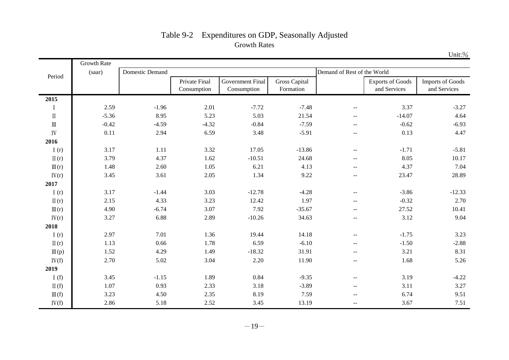|                                       | Growth Rate |                 |                                     |                                 |                                   |                                               |                                         |                                         |
|---------------------------------------|-------------|-----------------|-------------------------------------|---------------------------------|-----------------------------------|-----------------------------------------------|-----------------------------------------|-----------------------------------------|
| Period                                | (saar)      | Domestic Demand |                                     |                                 |                                   | Demand of Rest of the World                   |                                         |                                         |
|                                       |             |                 | <b>Private Final</b><br>Consumption | Government Final<br>Consumption | <b>Gross Capital</b><br>Formation |                                               | <b>Exports of Goods</b><br>and Services | <b>Imports of Goods</b><br>and Services |
| 2015                                  |             |                 |                                     |                                 |                                   |                                               |                                         |                                         |
| $\bf{I}$                              | 2.59        | $-1.96$         | 2.01                                | $-7.72$                         | $-7.48$                           | $\overline{a}$                                | 3.37                                    | $-3.27$                                 |
| $\rm \Pi$                             | $-5.36$     | 8.95            | 5.23                                | 5.03                            | 21.54                             | $\overline{\phantom{m}}$                      | $-14.07$                                | 4.64                                    |
| $\rm I\hspace{-.1em}I\hspace{-.1em}I$ | $-0.42$     | $-4.59$         | $-4.32$                             | $-0.84$                         | $-7.59$                           | $\mathbf{u}$                                  | $-0.62$                                 | $-6.93$                                 |
| ${\rm IV}$                            | 0.11        | 2.94            | 6.59                                | 3.48                            | $-5.91$                           | $\overline{\phantom{m}}$                      | 0.13                                    | 4.47                                    |
| 2016                                  |             |                 |                                     |                                 |                                   |                                               |                                         |                                         |
| I(r)                                  | 3.17        | 1.11            | 3.32                                | 17.05                           | $-13.86$                          | $\overline{\phantom{m}}$                      | $-1.71$                                 | $-5.81$                                 |
| $\Pi(r)$                              | 3.79        | 4.37            | 1.62                                | $-10.51$                        | 24.68                             | $\overline{\phantom{m}}$                      | 8.05                                    | 10.17                                   |
| $\mathbb{II}(r)$                      | 1.48        | 2.60            | 1.05                                | 6.21                            | 4.13                              | $\overline{a}$                                | 4.37                                    | 7.04                                    |
| IV(r)                                 | 3.45        | 3.61            | 2.05                                | 1.34                            | 9.22                              | $\sim$ $\sim$                                 | 23.47                                   | 28.89                                   |
| 2017                                  |             |                 |                                     |                                 |                                   |                                               |                                         |                                         |
| I $(r)$                               | 3.17        | $-1.44$         | 3.03                                | $-12.78$                        | $-4.28$                           | $\overline{a}$                                | $-3.86$                                 | $-12.33$                                |
| $\Pi(r)$                              | 2.15        | 4.33            | 3.23                                | 12.42                           | 1.97                              | $\overline{a}$                                | $-0.32$                                 | 2.70                                    |
| $\mathbb{II}(r)$                      | 4.90        | $-6.74$         | 3.07                                | 7.92                            | $-35.67$                          | $\overline{\phantom{m}}$                      | 27.52                                   | 10.41                                   |
| IV(r)                                 | 3.27        | 6.88            | 2.89                                | $-10.26$                        | 34.63                             | $\mathord{\hspace{1pt}\text{--}\hspace{1pt}}$ | 3.12                                    | 9.04                                    |
| 2018                                  |             |                 |                                     |                                 |                                   |                                               |                                         |                                         |
| I(r)                                  | 2.97        | 7.01            | 1.36                                | 19.44                           | 14.18                             | $\overline{a}$                                | $-1.75$                                 | 3.23                                    |
| $\Pi(r)$                              | 1.13        | 0.66            | 1.78                                | 6.59                            | $-6.10$                           | $\overline{\phantom{m}}$                      | $-1.50$                                 | $-2.88$                                 |
| $\mathbb{II}(p)$                      | 1.52        | 4.29            | 1.49                                | $-18.32$                        | 31.91                             | $- -$                                         | 3.21                                    | 8.31                                    |
| IV(f)                                 | 2.70        | 5.02            | 3.04                                | 2.20                            | 11.90                             | $-$                                           | 1.68                                    | 5.26                                    |
| 2019                                  |             |                 |                                     |                                 |                                   |                                               |                                         |                                         |
| I(f)                                  | 3.45        | $-1.15$         | 1.89                                | 0.84                            | $-9.35$                           | $\mathbf{u}$                                  | 3.19                                    | $-4.22$                                 |
| $\Pi(f)$                              | 1.07        | 0.93            | 2.33                                | 3.18                            | $-3.89$                           | $\overline{a}$                                | 3.11                                    | 3.27                                    |
| $\mathbb{II}(f)$                      | 3.23        | 4.50            | 2.35                                | 8.19                            | 7.59                              | $\mathord{\hspace{1pt}\text{--}\hspace{1pt}}$ | 6.74                                    | 9.51                                    |
| IV(f)                                 | 2.86        | 5.18            | 2.52                                | 3.45                            | 13.19                             | --                                            | 3.67                                    | 7.51                                    |

# Table 9-2 Expenditures on GDP, Seasonally Adjusted Growth Rates

Unit:%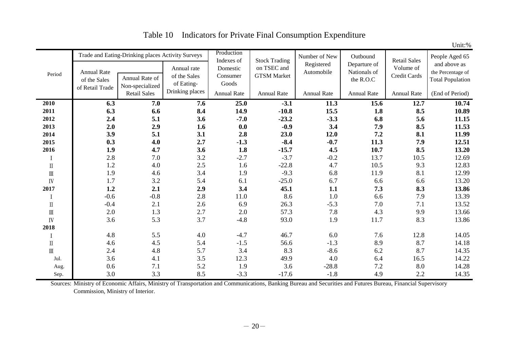| Period                                | <b>Annual Rate</b><br>of the Sales | Trade and Eating-Drinking places Activity Surveys<br>Annual Rate of | Annual rate<br>of the Sales<br>of Eating- | Production<br>Indexes of<br>Domestic<br>Consumer<br>Goods | <b>Stock Trading</b><br>on TSEC and<br><b>GTSM</b> Market | Number of New<br>Registered<br>Automobile | Outbound<br>Departure of<br>Nationals of<br>the R.O.C | <b>Retail Sales</b><br>Volume of<br>Credit Cards | People Aged 65<br>and above as<br>the Percentage of<br><b>Total Population</b> |
|---------------------------------------|------------------------------------|---------------------------------------------------------------------|-------------------------------------------|-----------------------------------------------------------|-----------------------------------------------------------|-------------------------------------------|-------------------------------------------------------|--------------------------------------------------|--------------------------------------------------------------------------------|
|                                       | of Retail Trade                    | Non-specialized<br><b>Retail Sales</b>                              | Drinking places                           | <b>Annual Rate</b>                                        | <b>Annual Rate</b>                                        | <b>Annual Rate</b>                        | <b>Annual Rate</b>                                    | Annual Rate                                      | (End of Period)                                                                |
| 2010                                  | 6.3                                | 7.0                                                                 | 7.6                                       | 25.0                                                      | $-3.1$                                                    | 11.3                                      | 15.6                                                  | 12.7                                             | 10.74                                                                          |
| 2011                                  | 6.3                                | 6.6                                                                 | 8.4                                       | 14.9                                                      | $-10.8$                                                   | 15.5                                      | 1.8                                                   | 8.5                                              | 10.89                                                                          |
| 2012                                  | 2.4                                | 5.1                                                                 | 3.6                                       | $-7.0$                                                    | $-23.2$                                                   | $-3.3$                                    | 6.8                                                   | 5.6                                              | 11.15                                                                          |
| 2013                                  | 2.0                                | 2.9                                                                 | 1.6                                       | 0.0                                                       | $-0.9$                                                    | 3.4                                       | 7.9                                                   | 8.5                                              | 11.53                                                                          |
| 2014                                  | 3.9                                | 5.1                                                                 | 3.1                                       | 2.8                                                       | 23.0                                                      | 12.0                                      | 7.2                                                   | 8.1                                              | 11.99                                                                          |
| 2015                                  | 0.3                                | 4.0                                                                 | 2.7                                       | $-1.3$                                                    | $-8.4$                                                    | $-0.7$                                    | 11.3                                                  | 7.9                                              | 12.51                                                                          |
| 2016                                  | 1.9                                | 4.7                                                                 | 3.6                                       | 1.8                                                       | $-15.7$                                                   | 4.5                                       | 10.7                                                  | 8.5                                              | 13.20                                                                          |
| $\mathbf I$                           | 2.8                                | 7.0                                                                 | 3.2                                       | $-2.7$                                                    | $-3.7$                                                    | $-0.2$                                    | 13.7                                                  | 10.5                                             | 12.69                                                                          |
| $\rm \Pi$                             | 1.2                                | 4.0                                                                 | $2.5$                                     | 1.6                                                       | $-22.8$                                                   | 4.7                                       | 10.5                                                  | 9.3                                              | 12.83                                                                          |
| $\rm{I\!I}$                           | 1.9                                | 4.6                                                                 | 3.4                                       | 1.9                                                       | $-9.3$                                                    | 6.8                                       | 11.9                                                  | 8.1                                              | 12.99                                                                          |
| $\ensuremath{\text{IV}}\xspace$       | 1.7                                | 3.2                                                                 | 5.4                                       | 6.1                                                       | $-25.0$                                                   | 6.7                                       | 6.6                                                   | 6.6                                              | 13.20                                                                          |
| 2017                                  | 1.2                                | 2.1                                                                 | 2.9                                       | 3.4                                                       | 45.1                                                      | 1.1                                       | 7.3                                                   | 8.3                                              | 13.86                                                                          |
| $\bf{l}$                              | $-0.6$                             | $-0.8$                                                              | 2.8                                       | 11.0                                                      | 8.6                                                       | $1.0\,$                                   | 6.6                                                   | 7.9                                              | 13.39                                                                          |
| $\rm \Pi$                             | $-0.4$                             | 2.1                                                                 | 2.6                                       | 6.9                                                       | 26.3                                                      | $-5.3$                                    | 7.0                                                   | 7.1                                              | 13.52                                                                          |
| $\rm I\hspace{-.1em}I\hspace{-.1em}I$ | 2.0                                | 1.3                                                                 | 2.7                                       | 2.0                                                       | 57.3                                                      | 7.8                                       | 4.3                                                   | 9.9                                              | 13.66                                                                          |
| $\ensuremath{\text{IV}}\xspace$       | 3.6                                | 5.3                                                                 | 3.7                                       | $-4.8$                                                    | 93.0                                                      | 1.9                                       | 11.7                                                  | 8.3                                              | 13.86                                                                          |
| 2018                                  |                                    |                                                                     |                                           |                                                           |                                                           |                                           |                                                       |                                                  |                                                                                |
| I                                     | 4.8                                | 5.5                                                                 | 4.0                                       | $-4.7$                                                    | 46.7                                                      | 6.0                                       | 7.6                                                   | 12.8                                             | 14.05                                                                          |
| $\rm \Pi$                             | 4.6                                | 4.5                                                                 | 5.4                                       | $-1.5$                                                    | 56.6                                                      | $-1.3$                                    | 8.9                                                   | 8.7                                              | 14.18                                                                          |
| $\rm I\hspace{-.1em}I\hspace{-.1em}I$ | 2.4                                | 4.8                                                                 | 5.7                                       | 3.4                                                       | 8.3                                                       | $-8.6$                                    | 6.2                                                   | 8.7                                              | 14.35                                                                          |
| Jul.                                  | 3.6                                | 4.1                                                                 | 3.5                                       | 12.3                                                      | 49.9                                                      | 4.0                                       | 6.4                                                   | 16.5                                             | 14.22                                                                          |
| Aug.                                  | 0.6                                | 7.1                                                                 | 5.2                                       | 1.9                                                       | 3.6                                                       | $-28.8$                                   | 7.2                                                   | 8.0                                              | 14.28                                                                          |
| Sep.                                  | 3.0                                | 3.3                                                                 | 8.5                                       | $-3.3$                                                    | $-17.6$                                                   | $-1.8$                                    | 4.9                                                   | 2.2                                              | 14.35                                                                          |

Table 10 Indicators for Private Final Consumption Expenditure

Unit:%

Sources: Ministry of Economic Affairs, Ministry of Transportation and Communications, Banking Bureau and Securities and Futures Bureau, Financial Supervisory Commission, Ministry of Interior.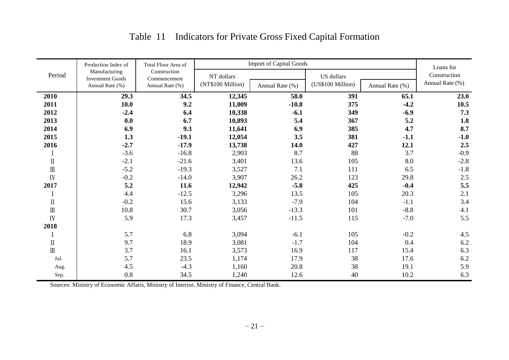# Table 11 Indicators for Private Gross Fixed Capital Formation

|                                       | Production Index of                      | Total Floor Area of          |                   | <b>Import of Capital Goods</b> |                   |                 |                           |  |  |  |  |  |  |  |
|---------------------------------------|------------------------------------------|------------------------------|-------------------|--------------------------------|-------------------|-----------------|---------------------------|--|--|--|--|--|--|--|
| Period                                | Manufacturing<br><b>Investment Goods</b> | Construction<br>Commencement | NT dollars        |                                | <b>US</b> dollars |                 | Loans for<br>Construction |  |  |  |  |  |  |  |
|                                       | Annual Rate (%)                          | Annual Rate (%)              | (NT\$100 Million) | Annual Rate (%)                | (US\$100 Million) | Annual Rate (%) | Annual Rate (%)           |  |  |  |  |  |  |  |
| 2010                                  | 29.3                                     | 34.5                         | 12,345            | 58.0                           | 391               | 65.1            | 23.0                      |  |  |  |  |  |  |  |
| 2011                                  | 10.0                                     | 9.2                          | 11,009            | $-10.8$                        | 375               | $-4.2$          | 10.5                      |  |  |  |  |  |  |  |
| 2012                                  | $-2.4$                                   | 6.4                          | 10,338            | $-6.1$                         | 349               | $-6.9$          | 7.3                       |  |  |  |  |  |  |  |
| 2013                                  | 0.0                                      | 6.7                          | 10,893            | 5.4                            | 367               | 5.2             | 1.8                       |  |  |  |  |  |  |  |
| 2014                                  | 6.9                                      | 9.3                          | 11,641            | 6.9                            | 385               | 4.7             | 8.7                       |  |  |  |  |  |  |  |
| 2015                                  | 1.3                                      | $-19.1$                      | 12,054            | 3.5                            | 381               | $-1.1$          | $-1.0$                    |  |  |  |  |  |  |  |
| 2016                                  | $-2.7$                                   | $-17.9$                      | 13,738            | 14.0                           | 427               | 12.1            | 2.5                       |  |  |  |  |  |  |  |
|                                       | $-3.6$                                   | $-16.8$                      | 2,903             | 8.7                            | 88                | 3.7             | $-0.9$                    |  |  |  |  |  |  |  |
| $\rm{I\hspace{-.1em}I}$               | $-2.1$                                   | $-21.6$                      | 3,401             | 13.6                           | 105               | 8.0             | $-2.8$                    |  |  |  |  |  |  |  |
| $\rm I\hspace{-.1em}I\hspace{-.1em}I$ | $-5.2$                                   | $-19.3$                      | 3,527             | 7.1                            | 111               | 6.5             | $-1.8$                    |  |  |  |  |  |  |  |
| $\overline{N}$                        | $-0.2$                                   | $-14.0$                      | 3,907             | 26.2                           | 123               | 29.8            | 2.5                       |  |  |  |  |  |  |  |
| 2017                                  | 5.2                                      | 11.6                         | 12,942            | $-5.8$                         | 425               | $-0.4$          | 5.5                       |  |  |  |  |  |  |  |
|                                       | 4.4                                      | $-12.5$                      | 3,296             | 13.5                           | 105               | 20.3            | 2.1                       |  |  |  |  |  |  |  |
| $\rm I\hspace{-0.04cm}I$              | $-0.2$                                   | 15.6                         | 3,133             | $-7.9$                         | 104               | $-1.1$          | 3.4                       |  |  |  |  |  |  |  |
| $\rm I\hspace{-.1em}I\hspace{-.1em}I$ | 10.8                                     | 30.7                         | 3,056             | $-13.3$                        | 101               | $-8.8$          | 4.1                       |  |  |  |  |  |  |  |
| IV                                    | 5.9                                      | 17.3                         | 3,457             | $-11.5$                        | 115               | $-7.0$          | 5.5                       |  |  |  |  |  |  |  |
| 2018                                  |                                          |                              |                   |                                |                   |                 |                           |  |  |  |  |  |  |  |
|                                       | 5.7                                      | 6.8                          | 3,094             | $-6.1$                         | 105               | $-0.2$          | 4.5                       |  |  |  |  |  |  |  |
| $\rm I\hspace{-0.04cm}I$              | 9.7                                      | 18.9                         | 3,081             | $-1.7$                         | 104               | 0.4             | 6.2                       |  |  |  |  |  |  |  |
| $\rm I\hspace{-.1em}I\hspace{-.1em}I$ | 3.7                                      | 16.1                         | 3,573             | 16.9                           | 117               | 15.4            | 6.3                       |  |  |  |  |  |  |  |
| Jul.                                  | 5.7                                      | 23.5                         | 1,174             | 17.9                           | 38                | 17.6            | 6.2                       |  |  |  |  |  |  |  |
| Aug.                                  | 4.5                                      | $-4.3$                       | 1,160             | 20.8                           | 38                | 19.1            | 5.9                       |  |  |  |  |  |  |  |
| Sep.                                  | 0.8                                      | 34.5                         | 1,240             | 12.6                           | 40                | 10.2            | 6.3                       |  |  |  |  |  |  |  |

Sources: Ministry of Economic Affairs, Ministry of Interior, Ministry of Finance, Central Bank.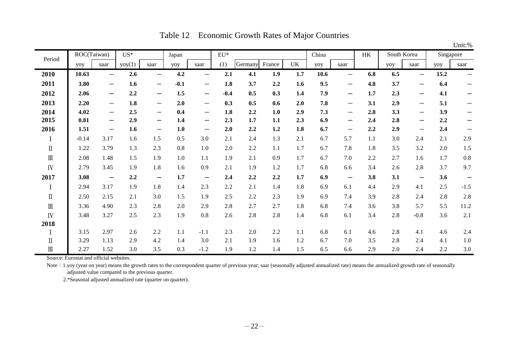|                                       |         |                                   |        |                          |        |                          |                 |         |        |     |       |                                 |           |     |                          |           | Unit:%                   |
|---------------------------------------|---------|-----------------------------------|--------|--------------------------|--------|--------------------------|-----------------|---------|--------|-----|-------|---------------------------------|-----------|-----|--------------------------|-----------|--------------------------|
| Period                                |         | ROC(Taiwan)                       | $US^*$ |                          | Japan  |                          | $\mathrm{EU}^*$ |         |        |     | China |                                 | <b>HK</b> |     | South Korea              | Singapore |                          |
|                                       | yoy     | saar                              | yoy(1) | saar                     | yoy    | saar                     | (1)             | Germany | France | UK  | yoy   | saar                            |           | yoy | saar                     | yoy       | saar                     |
| 2010                                  | 10.63   | $\overline{\phantom{0}}$          | 2.6    | $\overline{\phantom{0}}$ | 4.2    | $\overline{\phantom{0}}$ | 2.1             | 4.1     | 1.9    | 1.7 | 10.6  | $\overline{\phantom{m}}$        | 6.8       | 6.5 | $\overline{\phantom{0}}$ | 15.2      | $\overline{\phantom{0}}$ |
| 2011                                  | 3.80    | $\overline{\phantom{0}}$          | 1.6    | $\overline{\phantom{0}}$ | $-0.1$ | —                        | 1.8             | 3.7     | 2.2    | 1.6 | 9.5   | $\hspace{0.1mm}-\hspace{0.1mm}$ | 4.8       | 3.7 | —                        | 6.4       |                          |
| 2012                                  | 2.06    | $\overbrace{\phantom{13333}}$     | 2.2    | $\qquad \qquad -$        | 1.5    | $\qquad \qquad$          | $-0.4$          | 0.5     | 0.3    | 1.4 | 7.9   | $\overline{\phantom{0}}$        | 1.7       | 2.3 | $\overline{\phantom{m}}$ | 4.1       | —                        |
| 2013                                  | 2.20    | $\overline{\phantom{0}}$          | 1.8    | $\overline{\phantom{m}}$ | 2.0    | —                        | 0.3             | 0.5     | 0.6    | 2.0 | 7.8   | $\hspace{0.1mm}-\hspace{0.1mm}$ | 3.1       | 2.9 | —                        | 5.1       | —                        |
| 2014                                  | 4.02    |                                   | 2.5    | $\overline{\phantom{m}}$ | 0.4    | —                        | 1.8             | 2.2     | 1.0    | 2.9 | 7.3   | $\hspace{0.1mm}-\hspace{0.1mm}$ | 2.8       | 3.3 | $\overline{\phantom{0}}$ | 3.9       | —                        |
| 2015                                  | 0.81    | —                                 | 2.9    | —                        | 1.4    | —                        | 2.3             | 1.7     | 1.1    | 2.3 | 6.9   | $\overline{\phantom{m}}$        | 2.4       | 2.8 | —                        | 2.2       |                          |
| 2016                                  | 1.51    | $\qquad \qquad$                   | 1.6    | $\qquad \qquad$          | 1.0    | —                        | 2.0             | 2.2     | 1.2    | 1.8 | 6.7   | $\overline{\phantom{m}}$        | 2.2       | 2.9 | $\overline{\phantom{0}}$ | 2.4       | —                        |
| I                                     | $-0.14$ | 3.17                              | 1.6    | 1.5                      | 0.5    | 3.0                      | 2.1             | 2.4     | 1.3    | 2.1 | 6.7   | 5.7                             | 1.1       | 3.0 | 2.4                      | 2.1       | 2.9                      |
| $\rm I\hspace{-.1em}I$                | 1.22    | 3.79                              | 1.3    | 2.3                      | 0.8    | 1.0                      | 2.0             | 2.2     | 1.1    | 1.7 | 6.7   | 7.8                             | 1.8       | 3.5 | 3.2                      | 2.0       | 1.5                      |
| $\rm I\hspace{-.1em}I\hspace{-.1em}I$ | 2.08    | 1.48                              | 1.5    | 1.9                      | 1.0    | 1.1                      | 1.9             | 2.1     | 0.9    | 1.7 | 6.7   | 7.0                             | 2.2       | 2.7 | 1.6                      | 1.7       | 0.8                      |
| IV                                    | 2.79    | 3.45                              | 1.9    | 1.8                      | 1.6    | 0.9                      | 2.1             | 1.9     | 1.2    | 1.7 | 6.8   | 6.6                             | 3.4       | 2.6 | 2.8                      | 3.7       | 9.7                      |
| 2017                                  | 3.08    | $\overbrace{\phantom{123221111}}$ | 2.2    | $\overline{\phantom{m}}$ | 1.7    | $\overline{\phantom{m}}$ | 2.4             | 2.2     | 2.2    | 1.7 | 6.9   | $\overline{\phantom{m}}$        | 3.8       | 3.1 | $\overline{\phantom{m}}$ | 3.6       | $\overline{\phantom{m}}$ |
| I                                     | 2.94    | 3.17                              | 1.9    | 1.8                      | 1.4    | 2.3                      | 2.2             | 2.1     | 1.4    | 1.8 | 6.9   | 6.1                             | 4.4       | 2.9 | 4.1                      | 2.5       | $-1.5$                   |
| $\rm I\hspace{-.1em}I$                | 2.50    | 2.15                              | 2.1    | 3.0                      | 1.5    | 1.9                      | 2.5             | 2.2     | 2.3    | 1.9 | 6.9   | 7.4                             | 3.9       | 2.8 | 2.4                      | 2.8       | 2.8                      |
| $\rm I\hspace{-.1em}I\hspace{-.1em}I$ | 3.36    | 4.90                              | 2.3    | 2.8                      | 2.0    | 2.9                      | 2.8             | 2.7     | 2.7    | 1.8 | 6.8   | 7.4                             | 3.6       | 3.8 | 5.7                      | 5.5       | 11.2                     |
| IV                                    | 3.48    | 3.27                              | 2.5    | 2.3                      | 1.9    | 0.8                      | 2.6             | 2.8     | 2.8    | 1.4 | 6.8   | 6.1                             | 3.4       | 2.8 | $-0.8$                   | 3.6       | 2.1                      |
| 2018                                  |         |                                   |        |                          |        |                          |                 |         |        |     |       |                                 |           |     |                          |           |                          |
| I                                     | 3.15    | 2.97                              | 2.6    | 2.2                      | 1.1    | $-1.1$                   | 2.3             | 2.0     | 2.2    | 1.1 | 6.8   | 6.1                             | 4.6       | 2.8 | 4.1                      | 4.6       | 2.4                      |
| $\rm \Pi$                             | 3.29    | 1.13                              | 2.9    | 4.2                      | 1.4    | 3.0                      | 2.1             | 1.9     | 1.6    | 1.2 | 6.7   | 7.0                             | 3.5       | 2.8 | 2.4                      | 4.1       | 1.0                      |
| $\rm I\hspace{-.1em}I\hspace{-.1em}I$ | 2.27    | 1.52                              | 3.0    | 3.5                      | 0.3    | $-1.2$                   | 1.9             | 1.2     | 1.4    | 1.5 | 6.5   | 6.6                             | 2.9       | 2.0 | 2.4                      | 2.2       | 3.0                      |

Table 12 Economic Growth Rates of Major Countries

Source: Eurostat and official websites.

Note: 1.yoy (year on year) means the growth rates to the correspondent quarter of previous year; saar (seasonally adjusted annualized rate) means the annualized growth rate of seasonally adjusted value compared to the previous quarter.

2.\*Seasonal adjusted annualized rate (quarter on quarter).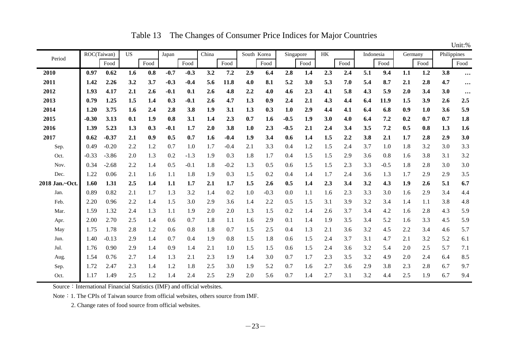Table 13 The Changes of Consumer Price Indices for Major Countries

|                |             |         |           |      |        |        |       |        |             |        |        |           |     |      |           |             |     |         |             | Unit:%   |
|----------------|-------------|---------|-----------|------|--------|--------|-------|--------|-------------|--------|--------|-----------|-----|------|-----------|-------------|-----|---------|-------------|----------|
| Period         | ROC(Taiwan) |         | <b>US</b> |      | Japan  |        | China |        | South Korea |        |        | Singapore | HK  |      | Indonesia |             |     | Germany | Philippines |          |
|                |             | Food    |           | Food |        | Food   |       | Food   |             | Food   |        | Food      |     | Food |           | Food        |     | Food    |             | Food     |
| 2010           | 0.97        | 0.62    | 1.6       | 0.8  | $-0.7$ | $-0.3$ | 3.2   | 7.2    | 2.9         | 6.4    | 2.8    | 1.4       | 2.3 | 2.4  | 5.1       | 9.4         | 1.1 | 1.2     | 3.8         | $\cdots$ |
| 2011           | 1.42        | 2.26    | 3.2       | 3.7  | $-0.3$ | $-0.4$ | 5.6   | 11.8   | 4.0         | 8.1    | 5.2    | 3.0       | 5.3 | 7.0  | 5.4       | 8.7         | 2.1 | 2.8     | 4.7         | $\cdots$ |
| 2012           | 1.93        | 4.17    | 2.1       | 2.6  | $-0.1$ | 0.1    | 2.6   | 4.8    | 2.2         | 4.0    | 4.6    | 2.3       | 4.1 | 5.8  | 4.3       | 5.9         | 2.0 | 3.4     | 3.0         | $\cdots$ |
| 2013           | 0.79        | 1.25    | 1.5       | 1.4  | 0.3    | $-0.1$ | 2.6   | 4.7    | 1.3         | 0.9    | 2.4    | 2.1       | 4.3 | 4,4  | 6.4       | <b>11.9</b> | 1.5 | 3.9     | 2.6         | 2.5      |
| 2014           | 1.20        | 3.75    | 1.6       | 2.4  | 2.8    | 3.8    | 1.9   | 3.1    | 1.3         | 0.3    | 1.0    | 2.9       | 4,4 | 4.1  | 6.4       | 6.8         | 0.9 | 1.0     | 3.6         | 5.9      |
| 2015           | $-0.30$     | 3.13    | 0.1       | 1.9  | 0.8    | 3.1    | 1.4   | 2.3    | 0.7         | 1.6    | $-0.5$ | 1.9       | 3.0 | 4.0  | 6.4       | 7.2         | 0.2 | 0.7     | 0.7         | 1.8      |
| 2016           | 1.39        | 5.23    | 1.3       | 0.3  | $-0.1$ | 1.7    | 2.0   | 3.8    | 1.0         | 2.3    | $-0.5$ | 2.1       | 2.4 | 3.4  | 3.5       | 7.2         | 0.5 | 0.8     | 1.3         | 1.6      |
| 2017           | 0.62        | $-0.37$ | 2.1       | 0.9  | 0.5    | 0.7    | 1.6   | $-0.4$ | 1.9         | 3.4    | 0.6    | 1.4       | 1.5 | 2.2  | 3.8       | 2.1         | 1.7 | 2.8     | 2.9         | 3.0      |
| Sep.           | 0.49        | $-0.20$ | 2.2       | 1.2  | 0.7    | 1.0    | 1.7   | $-0.4$ | 2.1         | 3.3    | 0.4    | 1.2       | 1.5 | 2.4  | 3.7       | 1.0         | 1.8 | 3.2     | 3.0         | 3.3      |
| Oct.           | $-0.33$     | $-3.86$ | 2.0       | 1.3  | 0.2    | $-1.3$ | 1.9   | 0.3    | 1.8         | 1.7    | 0.4    | 1.5       | 1.5 | 2.9  | 3.6       | 0.8         | 1.6 | 3.8     | 3.1         | 3.2      |
| Nov.           | 0.34        | $-2.68$ | 2.2       | 1.4  | 0.5    | $-0.1$ | 1.8   | $-0.2$ | 1.3         | 0.5    | 0.6    | 1.5       | 1.5 | 2.3  | 3.3       | $-0.5$      | 1.8 | 2.8     | 3.0         | 3.0      |
| Dec.           | 1.22        | 0.06    | 2.1       | 1.6  | 1.1    | 1.8    | 1.9   | 0.3    | 1.5         | 0.2    | 0.4    | 1.4       | 1.7 | 2.4  | 3.6       | 1.3         | 1.7 | 2.9     | 2.9         | 3.5      |
| 2018 Jan.~Oct. | 1.60        | 1.31    | 2.5       | 1.4  | 1.1    | 1.7    | 2.1   | 1.7    | 1.5         | 2.6    | 0.5    | 1.4       | 2.3 | 3.4  | 3.2       | 4.3         | 1.9 | 2.6     | 5.1         | 6.7      |
| Jan.           | 0.89        | 0.82    | 2.1       | 1.7  | 1.3    | 3.2    | 1.4   | 0.2    | 1.0         | $-0.3$ | 0.0    | 1.1       | 1.6 | 2.3  | 3.3       | 3.0         | 1.6 | 2.9     | 3.4         | 4.4      |
| Feb.           | 2.20        | 0.96    | 2.2       | 1.4  | 1.5    | 3.0    | 2.9   | 3.6    | 1.4         | 2.2    | 0.5    | 1.5       | 3.1 | 3.9  | 3.2       | 3.4         | 1.4 | 1.1     | 3.8         | 4.8      |
| Mar.           | 1.59        | 1.32    | 2.4       | 1.3  | 1.1    | 1.9    | 2.0   | 2.0    | 1.3         | 1.5    | 0.2    | 1.4       | 2.6 | 3.7  | 3.4       | 4.2         | 1.6 | 2.8     | 4.3         | 5.9      |
| Apr.           | 2.00        | 2.70    | 2.5       | 1.4  | 0.6    | 0.7    | 1.8   | 1.1    | 1.6         | 2.9    | 0.1    | 1.4       | 1.9 | 3.5  | 3.4       | 5.2         | 1.6 | 3.3     | 4.5         | 5.9      |
| May            | 1.75        | 1.78    | 2.8       | 1.2  | 0.6    | 0.8    | 1.8   | 0.7    | 1.5         | 2.5    | 0.4    | 1.3       | 2.1 | 3.6  | 3.2       | 4.5         | 2.2 | 3.4     | 4.6         | 5.7      |
| Jun.           | 1.40        | $-0.13$ | 2.9       | 1.4  | 0.7    | 0.4    | 1.9   | 0.8    | 1.5         | 1.8    | 0.6    | 1.5       | 2.4 | 3.7  | 3.1       | 4.7         | 2.1 | 3.2     | 5.2         | 6.1      |
| Jul.           | 1.76        | 0.90    | 2.9       | 1.4  | 0.9    | 1.4    | 2.1   | 1.0    | 1.5         | 1.5    | 0.6    | 1.5       | 2.4 | 3.6  | 3.2       | 5.4         | 2.0 | 2.5     | 5.7         | 7.1      |
| Aug.           | 1.54        | 0.76    | 2.7       | 1.4  | 1.3    | 2.1    | 2.3   | 1.9    | 1.4         | 3.0    | 0.7    | 1.7       | 2.3 | 3.5  | 3.2       | 4.9         | 2.0 | 2.4     | 6.4         | 8.5      |
| Sep.           | 1.72        | 2.47    | 2.3       | 1.4  | 1.2    | 1.8    | 2.5   | 3.0    | 1.9         | 5.2    | 0.7    | 1.6       | 2.7 | 3.6  | 2.9       | 3.8         | 2.3 | 2.8     | 6.7         | 9.7      |
| Oct.           | 1.17        | 1.49    | 2.5       | 1.2  | 1.4    | 2.4    | 2.5   | 2.9    | 2.0         | 5.6    | 0.7    | 1.4       | 2.7 | 3.1  | 3.2       | 4.4         | 2.5 | 1.9     | 6.7         | 9.4      |

Source: International Financial Statistics (IMF) and official websites.

Note: 1. The CPIs of Taiwan source from official websites, others source from IMF.

2. Change rates of food source from official websites.